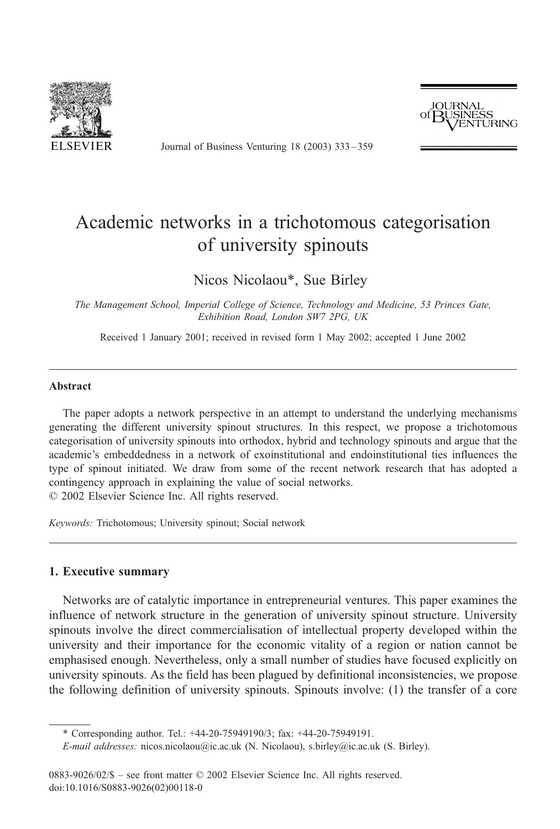

Journal of Business Venturing 18 (2003) 333 – 359



JOURNAI

**JRING** 

Nicos Nicolaou\*, Sue Birley

The Management School, Imperial College of Science, Technology and Medicine, 53 Princes Gate, Exhibition Road, London SW7 2PG, UK

Received 1 January 2001; received in revised form 1 May 2002; accepted 1 June 2002

### Abstract

The paper adopts a network perspective in an attempt to understand the underlying mechanisms generating the different university spinout structures. In this respect, we propose a trichotomous categorisation of university spinouts into orthodox, hybrid and technology spinouts and argue that the academic's embeddedness in a network of exoinstitutional and endoinstitutional ties influences the type of spinout initiated. We draw from some of the recent network research that has adopted a contingency approach in explaining the value of social networks.  $\odot$  2002 Elsevier Science Inc. All rights reserved.

Keywords: Trichotomous; University spinout; Social network

### 1. Executive summary

Networks are of catalytic importance in entrepreneurial ventures. This paper examines the influence of network structure in the generation of university spinout structure. University spinouts involve the direct commercialisation of intellectual property developed within the university and their importance for the economic vitality of a region or nation cannot be emphasised enough. Nevertheless, only a small number of studies have focused explicitly on university spinouts. As the field has been plagued by definitional inconsistencies, we propose the following definition of university spinouts. Spinouts involve: (1) the transfer of a core

<sup>\*</sup> Corresponding author. Tel.: +44-20-75949190/3; fax: +44-20-75949191.

E-mail addresses: nicos.nicolaou@ic.ac.uk (N. Nicolaou), s.birley@ic.ac.uk (S. Birley).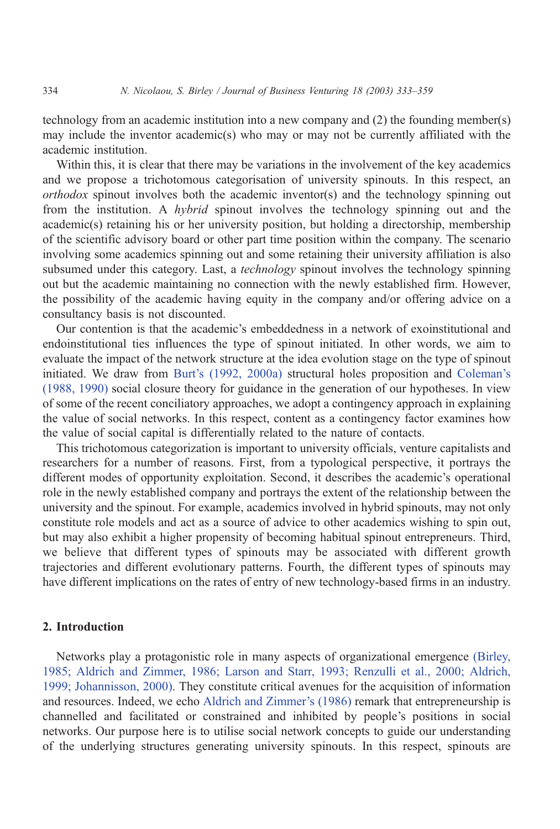technology from an academic institution into a new company and (2) the founding member(s) may include the inventor academic(s) who may or may not be currently affiliated with the academic institution.

Within this, it is clear that there may be variations in the involvement of the key academics and we propose a trichotomous categorisation of university spinouts. In this respect, an orthodox spinout involves both the academic inventor(s) and the technology spinning out from the institution. A *hybrid* spinout involves the technology spinning out and the academic(s) retaining his or her university position, but holding a directorship, membership of the scientific advisory board or other part time position within the company. The scenario involving some academics spinning out and some retaining their university affiliation is also subsumed under this category. Last, a *technology* spinout involves the technology spinning out but the academic maintaining no connection with the newly established firm. However, the possibility of the academic having equity in the company and/or offering advice on a consultancy basis is not discounted.

Our contention is that the academic's embeddedness in a network of exoinstitutional and endoinstitutional ties influences the type of spinout initiated. In other words, we aim to evaluate the impact of the network structure at the idea evolution stage on the type of spinout initiated. We draw from [Burt's \(1992, 2000a\)](#page-21-0) structural holes proposition and [Coleman's](#page-21-0) (1988, 1990) social closure theory for guidance in the generation of our hypotheses. In view of some of the recent conciliatory approaches, we adopt a contingency approach in explaining the value of social networks. In this respect, content as a contingency factor examines how the value of social capital is differentially related to the nature of contacts.

This trichotomous categorization is important to university officials, venture capitalists and researchers for a number of reasons. First, from a typological perspective, it portrays the different modes of opportunity exploitation. Second, it describes the academic's operational role in the newly established company and portrays the extent of the relationship between the university and the spinout. For example, academics involved in hybrid spinouts, may not only constitute role models and act as a source of advice to other academics wishing to spin out, but may also exhibit a higher propensity of becoming habitual spinout entrepreneurs. Third, we believe that different types of spinouts may be associated with different growth trajectories and different evolutionary patterns. Fourth, the different types of spinouts may have different implications on the rates of entry of new technology-based firms in an industry.

## 2. Introduction

Networks play a protagonistic role in many aspects of organizational emergence [\(Birley,](#page-21-0) 1985; Aldrich and Zimmer, 1986; Larson and Starr, 1993; Renzulli et al., 2000; Aldrich, 1999; Johannisson, 2000). They constitute critical avenues for the acquisition of information and resources. Indeed, we echo [Aldrich and Zimmer's \(1986\)](#page-20-0) remark that entrepreneurship is channelled and facilitated or constrained and inhibited by people's positions in social networks. Our purpose here is to utilise social network concepts to guide our understanding of the underlying structures generating university spinouts. In this respect, spinouts are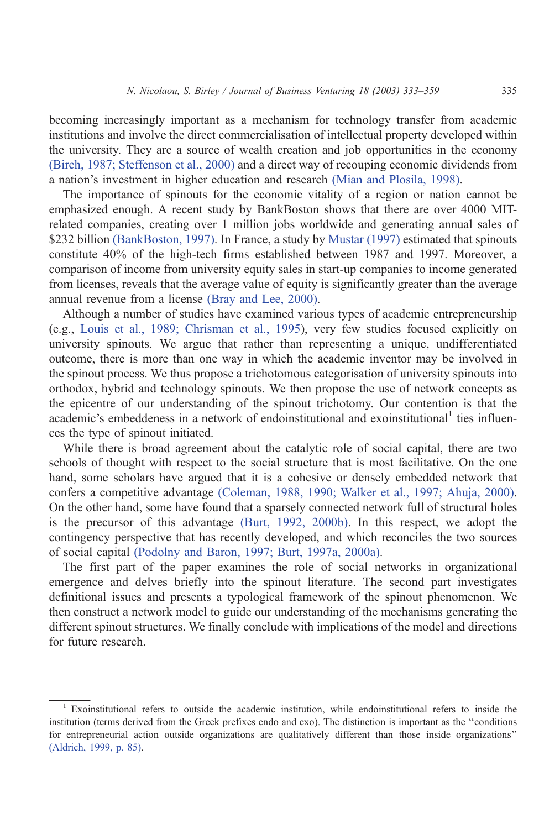becoming increasingly important as a mechanism for technology transfer from academic institutions and involve the direct commercialisation of intellectual property developed within the university. They are a source of wealth creation and job opportunities in the economy [\(Birch, 1987; Steffenson et al., 2000\)](#page-21-0) and a direct way of recouping economic dividends from a nation's investment in higher education and research [\(Mian and Plosila, 1998\).](#page-23-0)

The importance of spinouts for the economic vitality of a region or nation cannot be emphasized enough. A recent study by BankBoston shows that there are over 4000 MITrelated companies, creating over 1 million jobs worldwide and generating annual sales of \$232 billion [\(BankBoston, 1997\).](#page-21-0) In France, a study by [Mustar \(1997\)](#page-24-0) estimated that spinouts constitute 40% of the high-tech firms established between 1987 and 1997. Moreover, a comparison of income from university equity sales in start-up companies to income generated from licenses, reveals that the average value of equity is significantly greater than the average annual revenue from a license [\(Bray and Lee, 2000\).](#page-21-0)

Although a number of studies have examined various types of academic entrepreneurship (e.g., [Louis et al., 1989; Chrisman et al., 1995\)](#page-23-0), very few studies focused explicitly on university spinouts. We argue that rather than representing a unique, undifferentiated outcome, there is more than one way in which the academic inventor may be involved in the spinout process. We thus propose a trichotomous categorisation of university spinouts into orthodox, hybrid and technology spinouts. We then propose the use of network concepts as the epicentre of our understanding of the spinout trichotomy. Our contention is that the academic's embeddeness in a network of endoinstitutional and exoinstitutional<sup>1</sup> ties influences the type of spinout initiated.

While there is broad agreement about the catalytic role of social capital, there are two schools of thought with respect to the social structure that is most facilitative. On the one hand, some scholars have argued that it is a cohesive or densely embedded network that confers a competitive advantage [\(Coleman, 1988, 1990; Walker et al., 1997; Ahuja, 2000\).](#page-21-0) On the other hand, some have found that a sparsely connected network full of structural holes is the precursor of this advantage [\(Burt, 1992, 2000b\).](#page-21-0) In this respect, we adopt the contingency perspective that has recently developed, and which reconciles the two sources of social capital [\(Podolny and Baron, 1997; Burt, 1997a, 2000a\).](#page-24-0)

The first part of the paper examines the role of social networks in organizational emergence and delves briefly into the spinout literature. The second part investigates definitional issues and presents a typological framework of the spinout phenomenon. We then construct a network model to guide our understanding of the mechanisms generating the different spinout structures. We finally conclude with implications of the model and directions for future research.

<sup>1</sup> Exoinstitutional refers to outside the academic institution, while endoinstitutional refers to inside the institution (terms derived from the Greek prefixes endo and exo). The distinction is important as the ''conditions for entrepreneurial action outside organizations are qualitatively different than those inside organizations'' [\(Aldrich, 1999, p. 85\).](#page-20-0)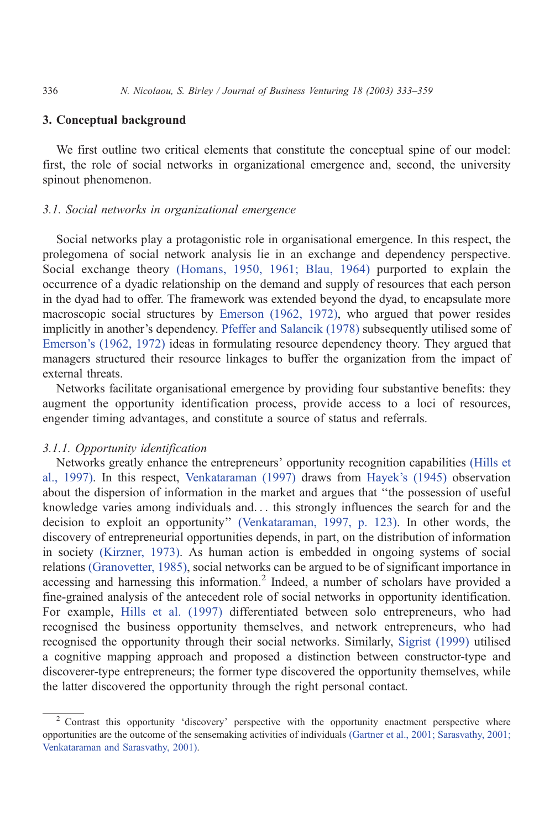## 3. Conceptual background

We first outline two critical elements that constitute the conceptual spine of our model: first, the role of social networks in organizational emergence and, second, the university spinout phenomenon.

### 3.1. Social networks in organizational emergence

Social networks play a protagonistic role in organisational emergence. In this respect, the prolegomena of social network analysis lie in an exchange and dependency perspective. Social exchange theory [\(Homans, 1950, 1961; Blau, 1964\)](#page-23-0) purported to explain the occurrence of a dyadic relationship on the demand and supply of resources that each person in the dyad had to offer. The framework was extended beyond the dyad, to encapsulate more macroscopic social structures by [Emerson \(1962, 1972\),](#page-22-0) who argued that power resides implicitly in another's dependency. [Pfeffer and Salancik \(1978\)](#page-24-0) subsequently utilised some of [Emerson's \(1962, 1972\)](#page-22-0) ideas in formulating resource dependency theory. They argued that managers structured their resource linkages to buffer the organization from the impact of external threats.

Networks facilitate organisational emergence by providing four substantive benefits: they augment the opportunity identification process, provide access to a loci of resources, engender timing advantages, and constitute a source of status and referrals.

# 3.1.1. Opportunity identification

Networks greatly enhance the entrepreneurs' opportunity recognition capabilities [\(Hills et](#page-22-0) al., 1997). In this respect, [Venkataraman \(1997\)](#page-25-0) draws from [Hayek's \(1945\)](#page-22-0) observation about the dispersion of information in the market and argues that ''the possession of useful knowledge varies among individuals and... this strongly influences the search for and the decision to exploit an opportunity'' [\(Venkataraman, 1997, p. 123\).](#page-25-0) In other words, the discovery of entrepreneurial opportunities depends, in part, on the distribution of information in society [\(Kirzner, 1973\).](#page-23-0) As human action is embedded in ongoing systems of social relations [\(Granovetter, 1985\),](#page-22-0) social networks can be argued to be of significant importance in accessing and harnessing this information.<sup>2</sup> Indeed, a number of scholars have provided a fine-grained analysis of the antecedent role of social networks in opportunity identification. For example, [Hills et al. \(1997\)](#page-22-0) differentiated between solo entrepreneurs, who had recognised the business opportunity themselves, and network entrepreneurs, who had recognised the opportunity through their social networks. Similarly, [Sigrist \(1999\)](#page-25-0) utilised a cognitive mapping approach and proposed a distinction between constructor-type and discoverer-type entrepreneurs; the former type discovered the opportunity themselves, while the latter discovered the opportunity through the right personal contact.

<sup>&</sup>lt;sup>2</sup> Contrast this opportunity 'discovery' perspective with the opportunity enactment perspective where opportunities are the outcome of the sensemaking activities of individuals [\(Gartner et al., 2001; Sarasvathy, 2001;](#page-22-0) Venkataraman and Sarasvathy, 2001).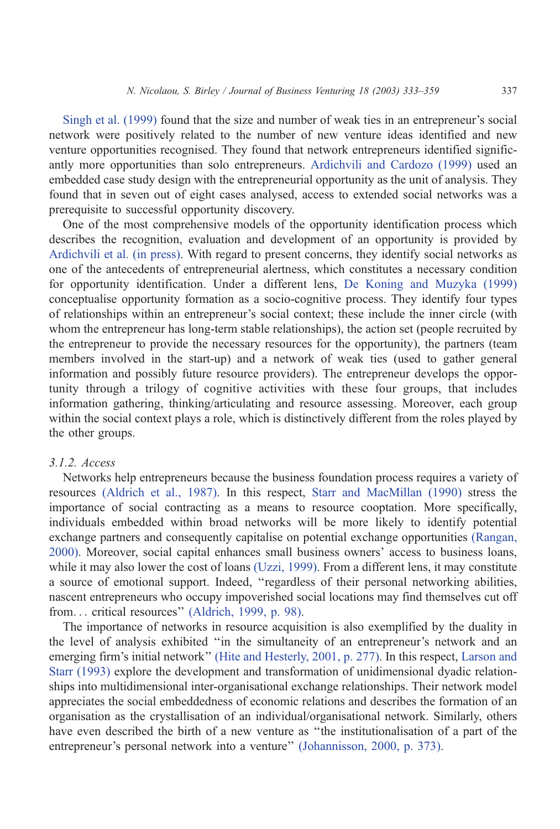[Singh et al. \(1999\)](#page-25-0) found that the size and number of weak ties in an entrepreneur's social network were positively related to the number of new venture ideas identified and new venture opportunities recognised. They found that network entrepreneurs identified significantly more opportunities than solo entrepreneurs. [Ardichvili and Cardozo \(1999\)](#page-20-0) used an embedded case study design with the entrepreneurial opportunity as the unit of analysis. They found that in seven out of eight cases analysed, access to extended social networks was a prerequisite to successful opportunity discovery.

One of the most comprehensive models of the opportunity identification process which describes the recognition, evaluation and development of an opportunity is provided by [Ardichvili et al. \(in press\).](#page-20-0) With regard to present concerns, they identify social networks as one of the antecedents of entrepreneurial alertness, which constitutes a necessary condition for opportunity identification. Under a different lens, [De Koning and Muzyka \(1999\)](#page-22-0) conceptualise opportunity formation as a socio-cognitive process. They identify four types of relationships within an entrepreneur's social context; these include the inner circle (with whom the entrepreneur has long-term stable relationships), the action set (people recruited by the entrepreneur to provide the necessary resources for the opportunity), the partners (team members involved in the start-up) and a network of weak ties (used to gather general information and possibly future resource providers). The entrepreneur develops the opportunity through a trilogy of cognitive activities with these four groups, that includes information gathering, thinking/articulating and resource assessing. Moreover, each group within the social context plays a role, which is distinctively different from the roles played by the other groups.

## 3.1.2. Access

Networks help entrepreneurs because the business foundation process requires a variety of resources [\(Aldrich et al., 1987\).](#page-20-0) In this respect, [Starr and MacMillan \(1990\)](#page-25-0) stress the importance of social contracting as a means to resource cooptation. More specifically, individuals embedded within broad networks will be more likely to identify potential exchange partners and consequently capitalise on potential exchange opportunities [\(Rangan,](#page-24-0) 2000). Moreover, social capital enhances small business owners' access to business loans, while it may also lower the cost of loans [\(Uzzi, 1999\).](#page-25-0) From a different lens, it may constitute a source of emotional support. Indeed, ''regardless of their personal networking abilities, nascent entrepreneurs who occupy impoverished social locations may find themselves cut off from... critical resources'' [\(Aldrich, 1999, p. 98\).](#page-20-0)

The importance of networks in resource acquisition is also exemplified by the duality in the level of analysis exhibited ''in the simultaneity of an entrepreneur's network and an emerging firm's initial network'' [\(Hite and Hesterly, 2001, p. 277\).](#page-23-0) In this respect, [Larson and](#page-23-0) Starr (1993) explore the development and transformation of unidimensional dyadic relationships into multidimensional inter-organisational exchange relationships. Their network model appreciates the social embeddedness of economic relations and describes the formation of an organisation as the crystallisation of an individual/organisational network. Similarly, others have even described the birth of a new venture as ''the institutionalisation of a part of the entrepreneur's personal network into a venture'' [\(Johannisson, 2000, p. 373\).](#page-23-0)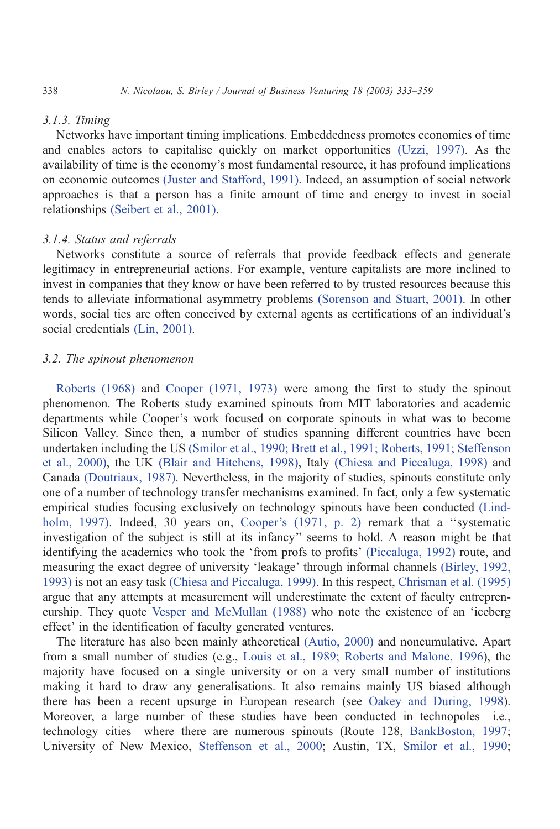## 3.1.3. Timing

Networks have important timing implications. Embeddedness promotes economies of time and enables actors to capitalise quickly on market opportunities [\(Uzzi, 1997\).](#page-25-0) As the availability of time is the economy's most fundamental resource, it has profound implications on economic outcomes [\(Juster and Stafford, 1991\).](#page-23-0) Indeed, an assumption of social network approaches is that a person has a finite amount of time and energy to invest in social relationships [\(Seibert et al., 2001\).](#page-25-0)

### 3.1.4. Status and referrals

Networks constitute a source of referrals that provide feedback effects and generate legitimacy in entrepreneurial actions. For example, venture capitalists are more inclined to invest in companies that they know or have been referred to by trusted resources because this tends to alleviate informational asymmetry problems [\(Sorenson and Stuart, 2001\).](#page-25-0) In other words, social ties are often conceived by external agents as certifications of an individual's social credentials [\(Lin, 2001\).](#page-23-0)

#### 3.2. The spinout phenomenon

[Roberts \(1968\)](#page-24-0) and [Cooper \(1971, 1973\)](#page-21-0) were among the first to study the spinout phenomenon. The Roberts study examined spinouts from MIT laboratories and academic departments while Cooper's work focused on corporate spinouts in what was to become Silicon Valley. Since then, a number of studies spanning different countries have been undertaken including the US [\(Smilor et al., 1990; Brett et al., 1991; Roberts, 1991; Steffenson](#page-25-0) et al., 2000), the UK [\(Blair and Hitchens, 1998\),](#page-21-0) Italy [\(Chiesa and Piccaluga, 1998\)](#page-21-0) and Canada [\(Doutriaux, 1987\).](#page-22-0) Nevertheless, in the majority of studies, spinouts constitute only one of a number of technology transfer mechanisms examined. In fact, only a few systematic empirical studies focusing exclusively on technology spinouts have been conducted [\(Lind-](#page-23-0)holm, 1997). Indeed, 30 years on, [Cooper's \(1971, p. 2\)](#page-21-0) remark that a "systematic investigation of the subject is still at its infancy'' seems to hold. A reason might be that identifying the academics who took the 'from profs to profits' [\(Piccaluga, 1992\)](#page-24-0) route, and measuring the exact degree of university 'leakage' through informal channels [\(Birley, 1992,](#page-21-0) 1993) is not an easy task [\(Chiesa and Piccaluga, 1999\).](#page-21-0) In this respect, [Chrisman et al. \(1995\)](#page-21-0) argue that any attempts at measurement will underestimate the extent of faculty entrepreneurship. They quote [Vesper and McMullan \(1988\)](#page-25-0) who note the existence of an 'iceberg effect' in the identification of faculty generated ventures.

The literature has also been mainly atheoretical [\(Autio, 2000\)](#page-21-0) and noncumulative. Apart from a small number of studies (e.g., [Louis et al., 1989; Roberts and Malone, 1996\)](#page-23-0), the majority have focused on a single university or on a very small number of institutions making it hard to draw any generalisations. It also remains mainly US biased although there has been a recent upsurge in European research (see [Oakey and During, 1998\)](#page-24-0). Moreover, a large number of these studies have been conducted in technopoles—i.e., technology cities—where there are numerous spinouts (Route 128, [BankBoston, 1997;](#page-21-0) University of New Mexico, [Steffenson et al., 2000;](#page-25-0) Austin, TX, [Smilor et al., 1990;](#page-25-0)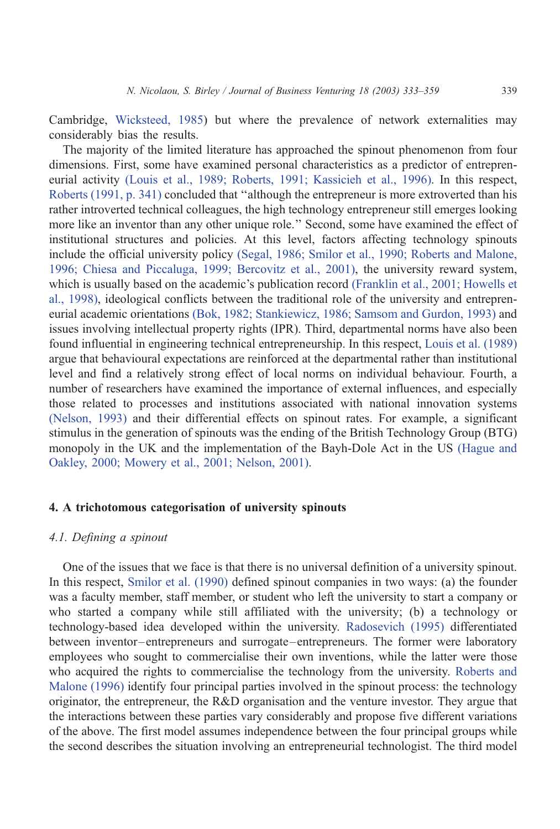Cambridge, [Wicksteed, 1985\)](#page-26-0) but where the prevalence of network externalities may considerably bias the results.

The majority of the limited literature has approached the spinout phenomenon from four dimensions. First, some have examined personal characteristics as a predictor of entrepreneurial activity [\(Louis et al., 1989; Roberts, 1991; Kassicieh et al., 1996\).](#page-23-0) In this respect, [Roberts \(1991, p. 341\)](#page-24-0) concluded that ''although the entrepreneur is more extroverted than his rather introverted technical colleagues, the high technology entrepreneur still emerges looking more like an inventor than any other unique role.'' Second, some have examined the effect of institutional structures and policies. At this level, factors affecting technology spinouts include the official university policy [\(Segal, 1986; Smilor et al., 1990; Roberts and Malone,](#page-24-0) 1996; Chiesa and Piccaluga, 1999; Bercovitz et al., 2001), the university reward system, which is usually based on the academic's publication record [\(Franklin et al., 2001; Howells et](#page-22-0) al., 1998), ideological conflicts between the traditional role of the university and entrepreneurial academic orientations [\(Bok, 1982; Stankiewicz, 1986; Samsom and Gurdon, 1993\)](#page-21-0) and issues involving intellectual property rights (IPR). Third, departmental norms have also been found influential in engineering technical entrepreneurship. In this respect, [Louis et al. \(1989\)](#page-23-0) argue that behavioural expectations are reinforced at the departmental rather than institutional level and find a relatively strong effect of local norms on individual behaviour. Fourth, a number of researchers have examined the importance of external influences, and especially those related to processes and institutions associated with national innovation systems [\(Nelson, 1993\)](#page-24-0) and their differential effects on spinout rates. For example, a significant stimulus in the generation of spinouts was the ending of the British Technology Group (BTG) monopoly in the UK and the implementation of the Bayh-Dole Act in the US [\(Hague and](#page-22-0) Oakley, 2000; Mowery et al., 2001; Nelson, 2001).

#### 4. A trichotomous categorisation of university spinouts

### 4.1. Defining a spinout

One of the issues that we face is that there is no universal definition of a university spinout. In this respect, [Smilor et al. \(1990\)](#page-25-0) defined spinout companies in two ways: (a) the founder was a faculty member, staff member, or student who left the university to start a company or who started a company while still affiliated with the university; (b) a technology or technology-based idea developed within the university. [Radosevich \(1995\)](#page-24-0) differentiated between inventor–entrepreneurs and surrogate–entrepreneurs. The former were laboratory employees who sought to commercialise their own inventions, while the latter were those who acquired the rights to commercialise the technology from the university. [Roberts and](#page-24-0) Malone (1996) identify four principal parties involved in the spinout process: the technology originator, the entrepreneur, the R&D organisation and the venture investor. They argue that the interactions between these parties vary considerably and propose five different variations of the above. The first model assumes independence between the four principal groups while the second describes the situation involving an entrepreneurial technologist. The third model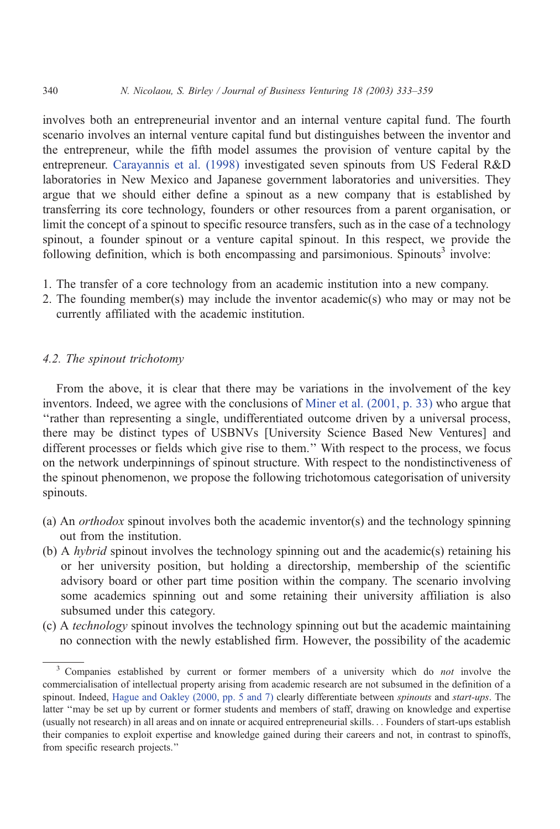involves both an entrepreneurial inventor and an internal venture capital fund. The fourth scenario involves an internal venture capital fund but distinguishes between the inventor and the entrepreneur, while the fifth model assumes the provision of venture capital by the entrepreneur. [Carayannis et al. \(1998\)](#page-21-0) investigated seven spinouts from US Federal R&D laboratories in New Mexico and Japanese government laboratories and universities. They argue that we should either define a spinout as a new company that is established by transferring its core technology, founders or other resources from a parent organisation, or limit the concept of a spinout to specific resource transfers, such as in the case of a technology spinout, a founder spinout or a venture capital spinout. In this respect, we provide the following definition, which is both encompassing and parsimonious. Spinouts<sup>3</sup> involve:

- 1. The transfer of a core technology from an academic institution into a new company.
- 2. The founding member(s) may include the inventor academic(s) who may or may not be currently affiliated with the academic institution.

#### 4.2. The spinout trichotomy

From the above, it is clear that there may be variations in the involvement of the key inventors. Indeed, we agree with the conclusions of [Miner et al. \(2001, p. 33\)](#page-23-0) who argue that ''rather than representing a single, undifferentiated outcome driven by a universal process, there may be distinct types of USBNVs [University Science Based New Ventures] and different processes or fields which give rise to them.'' With respect to the process, we focus on the network underpinnings of spinout structure. With respect to the nondistinctiveness of the spinout phenomenon, we propose the following trichotomous categorisation of university spinouts.

- (a) An orthodox spinout involves both the academic inventor(s) and the technology spinning out from the institution.
- (b) A *hybrid* spinout involves the technology spinning out and the academic(s) retaining his or her university position, but holding a directorship, membership of the scientific advisory board or other part time position within the company. The scenario involving some academics spinning out and some retaining their university affiliation is also subsumed under this category.
- (c) A technology spinout involves the technology spinning out but the academic maintaining no connection with the newly established firm. However, the possibility of the academic

<sup>&</sup>lt;sup>3</sup> Companies established by current or former members of a university which do not involve the commercialisation of intellectual property arising from academic research are not subsumed in the definition of a spinout. Indeed, [Hague and Oakley \(2000, pp. 5 and 7\)](#page-22-0) clearly differentiate between spinouts and start-ups. The latter ''may be set up by current or former students and members of staff, drawing on knowledge and expertise (usually not research) in all areas and on innate or acquired entrepreneurial skills... Founders of start-ups establish their companies to exploit expertise and knowledge gained during their careers and not, in contrast to spinoffs, from specific research projects.''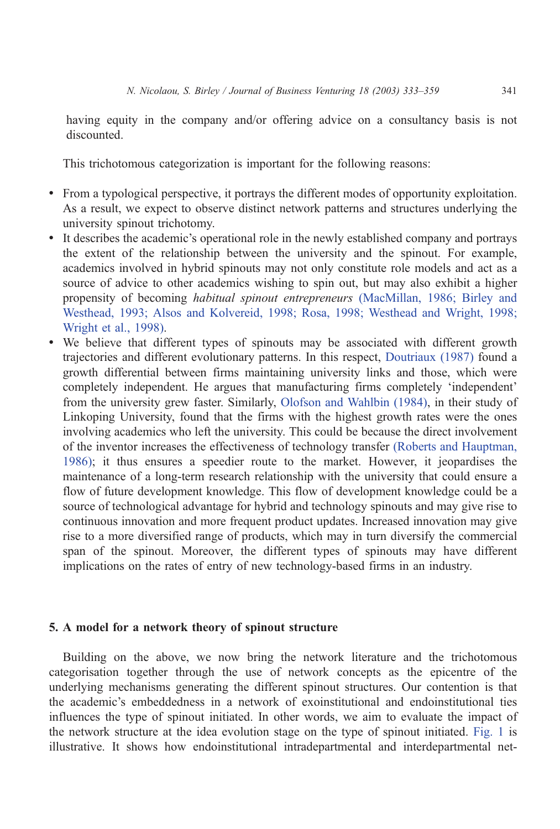having equity in the company and/or offering advice on a consultancy basis is not discounted.

This trichotomous categorization is important for the following reasons:

- From a typological perspective, it portrays the different modes of opportunity exploitation. As a result, we expect to observe distinct network patterns and structures underlying the university spinout trichotomy.
- It describes the academic's operational role in the newly established company and portrays the extent of the relationship between the university and the spinout. For example, academics involved in hybrid spinouts may not only constitute role models and act as a source of advice to other academics wishing to spin out, but may also exhibit a higher propensity of becoming habitual spinout entrepreneurs [\(MacMillan, 1986; Birley and](#page-23-0) Westhead, 1993; Alsos and Kolvereid, 1998; Rosa, 1998; Westhead and Wright, 1998; Wright et al., 1998).
- We believe that different types of spinouts may be associated with different growth trajectories and different evolutionary patterns. In this respect, [Doutriaux \(1987\)](#page-22-0) found a growth differential between firms maintaining university links and those, which were completely independent. He argues that manufacturing firms completely 'independent' from the university grew faster. Similarly, [Olofson and Wahlbin \(1984\),](#page-24-0) in their study of Linkoping University, found that the firms with the highest growth rates were the ones involving academics who left the university. This could be because the direct involvement of the inventor increases the effectiveness of technology transfer [\(Roberts and Hauptman,](#page-24-0) 1986); it thus ensures a speedier route to the market. However, it jeopardises the maintenance of a long-term research relationship with the university that could ensure a flow of future development knowledge. This flow of development knowledge could be a source of technological advantage for hybrid and technology spinouts and may give rise to continuous innovation and more frequent product updates. Increased innovation may give rise to a more diversified range of products, which may in turn diversify the commercial span of the spinout. Moreover, the different types of spinouts may have different implications on the rates of entry of new technology-based firms in an industry.

## 5. A model for a network theory of spinout structure

Building on the above, we now bring the network literature and the trichotomous categorisation together through the use of network concepts as the epicentre of the underlying mechanisms generating the different spinout structures. Our contention is that the academic's embeddedness in a network of exoinstitutional and endoinstitutional ties influences the type of spinout initiated. In other words, we aim to evaluate the impact of the network structure at the idea evolution stage on the type of spinout initiated. [Fig. 1](#page-9-0) is illustrative. It shows how endoinstitutional intradepartmental and interdepartmental net-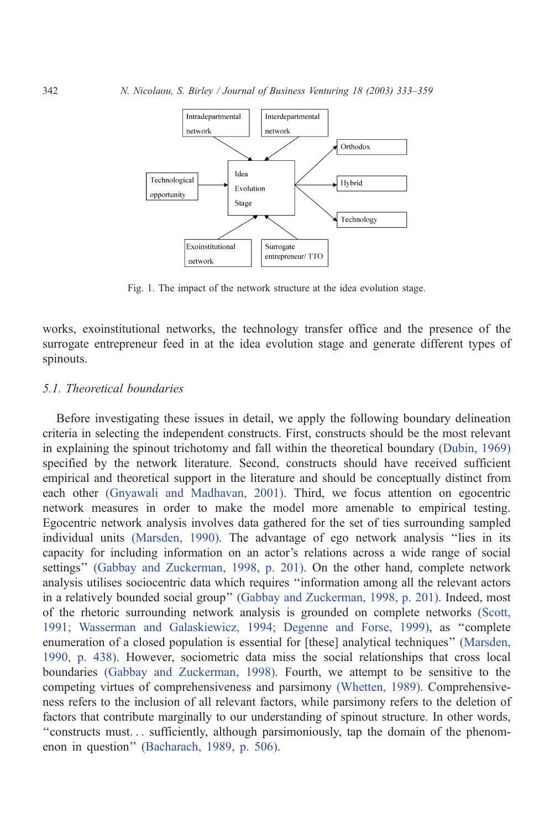<span id="page-9-0"></span>

Fig. 1. The impact of the network structure at the idea evolution stage.

works, exoinstitutional networks, the technology transfer office and the presence of the surrogate entrepreneur feed in at the idea evolution stage and generate different types of spinouts.

## 5.1. Theoretical boundaries

Before investigating these issues in detail, we apply the following boundary delineation criteria in selecting the independent constructs. First, constructs should be the most relevant in explaining the spinout trichotomy and fall within the theoretical boundary [\(Dubin, 1969\)](#page-22-0) specified by the network literature. Second, constructs should have received sufficient empirical and theoretical support in the literature and should be conceptually distinct from each other [\(Gnyawali and Madhavan, 2001\).](#page-22-0) Third, we focus attention on egocentric network measures in order to make the model more amenable to empirical testing. Egocentric network analysis involves data gathered for the set of ties surrounding sampled individual units [\(Marsden, 1990\).](#page-23-0) The advantage of ego network analysis ''lies in its capacity for including information on an actor's relations across a wide range of social settings'' [\(Gabbay and Zuckerman, 1998, p. 201\).](#page-22-0) On the other hand, complete network analysis utilises sociocentric data which requires ''information among all the relevant actors in a relatively bounded social group'' [\(Gabbay and Zuckerman, 1998, p. 201\).](#page-22-0) Indeed, most of the rhetoric surrounding network analysis is grounded on complete networks [\(Scott,](#page-24-0) 1991; Wasserman and Galaskiewicz, 1994; Degenne and Forse, 1999), as ''complete enumeration of a closed population is essential for [these] analytical techniques'' [\(Marsden,](#page-23-0) 1990, p. 438). However, sociometric data miss the social relationships that cross local boundaries [\(Gabbay and Zuckerman, 1998\).](#page-22-0) Fourth, we attempt to be sensitive to the competing virtues of comprehensiveness and parsimony [\(Whetten, 1989\).](#page-26-0) Comprehensiveness refers to the inclusion of all relevant factors, while parsimony refers to the deletion of factors that contribute marginally to our understanding of spinout structure. In other words, ''constructs must... sufficiently, although parsimoniously, tap the domain of the phenomenon in question'' [\(Bacharach, 1989, p. 506\).](#page-21-0)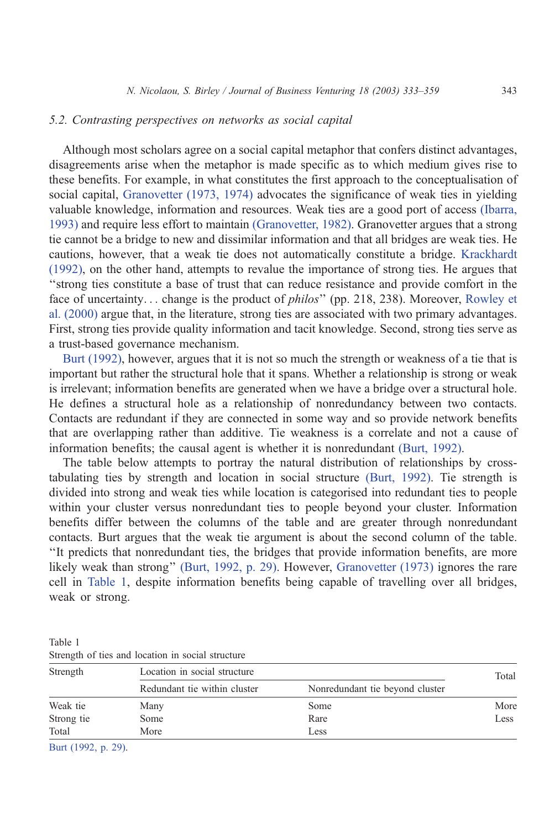#### 5.2. Contrasting perspectives on networks as social capital

Although most scholars agree on a social capital metaphor that confers distinct advantages, disagreements arise when the metaphor is made specific as to which medium gives rise to these benefits. For example, in what constitutes the first approach to the conceptualisation of social capital, [Granovetter \(1973, 1974\)](#page-22-0) advocates the significance of weak ties in yielding valuable knowledge, information and resources. Weak ties are a good port of access [\(Ibarra,](#page-23-0) 1993) and require less effort to maintain [\(Granovetter, 1982\).](#page-22-0) Granovetter argues that a strong tie cannot be a bridge to new and dissimilar information and that all bridges are weak ties. He cautions, however, that a weak tie does not automatically constitute a bridge. [Krackhardt](#page-23-0) (1992), on the other hand, attempts to revalue the importance of strong ties. He argues that ''strong ties constitute a base of trust that can reduce resistance and provide comfort in the face of uncertainty... change is the product of *philos*" (pp. 218, 238). Moreover, [Rowley et](#page-24-0) al. (2000) argue that, in the literature, strong ties are associated with two primary advantages. First, strong ties provide quality information and tacit knowledge. Second, strong ties serve as a trust-based governance mechanism.

[Burt \(1992\),](#page-21-0) however, argues that it is not so much the strength or weakness of a tie that is important but rather the structural hole that it spans. Whether a relationship is strong or weak is irrelevant; information benefits are generated when we have a bridge over a structural hole. He defines a structural hole as a relationship of nonredundancy between two contacts. Contacts are redundant if they are connected in some way and so provide network benefits that are overlapping rather than additive. Tie weakness is a correlate and not a cause of information benefits; the causal agent is whether it is nonredundant [\(Burt, 1992\).](#page-21-0)

The table below attempts to portray the natural distribution of relationships by crosstabulating ties by strength and location in social structure [\(Burt, 1992\).](#page-21-0) Tie strength is divided into strong and weak ties while location is categorised into redundant ties to people within your cluster versus nonredundant ties to people beyond your cluster. Information benefits differ between the columns of the table and are greater through nonredundant contacts. Burt argues that the weak tie argument is about the second column of the table. ''It predicts that nonredundant ties, the bridges that provide information benefits, are more likely weak than strong'' [\(Burt, 1992, p. 29\).](#page-21-0) However, [Granovetter \(1973\)](#page-22-0) ignores the rare cell in Table 1, despite information benefits being capable of travelling over all bridges, weak or strong.

Table 1 Strength of ties and location in social structure

| Strength   | Location in social structure |                                 | Total |
|------------|------------------------------|---------------------------------|-------|
|            | Redundant tie within cluster | Nonredundant tie beyond cluster |       |
| Weak tie   | Many                         | Some                            | More  |
| Strong tie | Some                         | Rare                            | Less  |
| Total      | More                         | Less                            |       |

[Burt \(1992, p. 29\).](#page-21-0)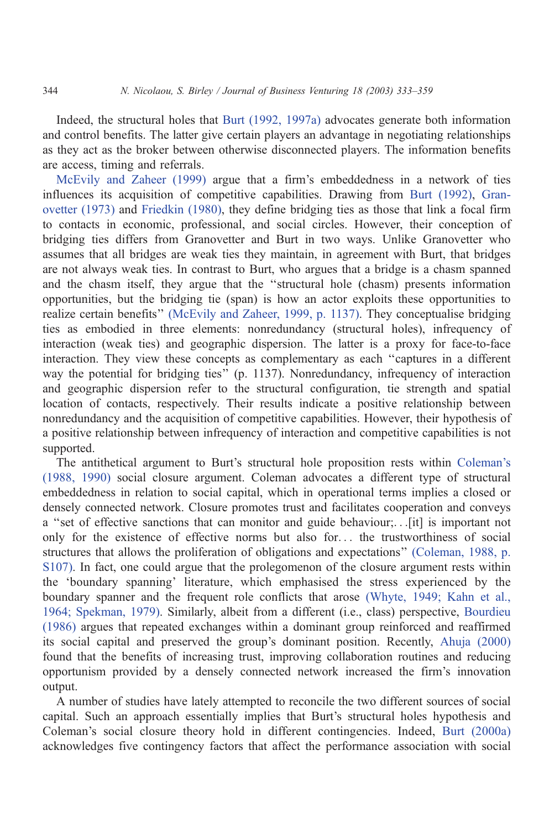Indeed, the structural holes that [Burt \(1992, 1997a\)](#page-21-0) advocates generate both information and control benefits. The latter give certain players an advantage in negotiating relationships as they act as the broker between otherwise disconnected players. The information benefits are access, timing and referrals.

[McEvily and Zaheer \(1999\)](#page-23-0) argue that a firm's embeddedness in a network of ties influences its acquisition of competitive capabilities. Drawing from [Burt \(1992\),](#page-21-0) [Gran](#page-22-0)ovetter (1973) and [Friedkin \(1980\),](#page-22-0) they define bridging ties as those that link a focal firm to contacts in economic, professional, and social circles. However, their conception of bridging ties differs from Granovetter and Burt in two ways. Unlike Granovetter who assumes that all bridges are weak ties they maintain, in agreement with Burt, that bridges are not always weak ties. In contrast to Burt, who argues that a bridge is a chasm spanned and the chasm itself, they argue that the ''structural hole (chasm) presents information opportunities, but the bridging tie (span) is how an actor exploits these opportunities to realize certain benefits'' [\(McEvily and Zaheer, 1999, p. 1137\).](#page-23-0) They conceptualise bridging ties as embodied in three elements: nonredundancy (structural holes), infrequency of interaction (weak ties) and geographic dispersion. The latter is a proxy for face-to-face interaction. They view these concepts as complementary as each ''captures in a different way the potential for bridging ties'' (p. 1137). Nonredundancy, infrequency of interaction and geographic dispersion refer to the structural configuration, tie strength and spatial location of contacts, respectively. Their results indicate a positive relationship between nonredundancy and the acquisition of competitive capabilities. However, their hypothesis of a positive relationship between infrequency of interaction and competitive capabilities is not supported.

The antithetical argument to Burt's structural hole proposition rests within [Coleman's](#page-21-0) (1988, 1990) social closure argument. Coleman advocates a different type of structural embeddedness in relation to social capital, which in operational terms implies a closed or densely connected network. Closure promotes trust and facilitates cooperation and conveys a ''set of effective sanctions that can monitor and guide behaviour;...[it] is important not only for the existence of effective norms but also for... the trustworthiness of social structures that allows the proliferation of obligations and expectations'' [\(Coleman, 1988, p.](#page-21-0) S107). In fact, one could argue that the prolegomenon of the closure argument rests within the 'boundary spanning' literature, which emphasised the stress experienced by the boundary spanner and the frequent role conflicts that arose [\(Whyte, 1949; Kahn et al.,](#page-26-0) 1964; Spekman, 1979). Similarly, albeit from a different (i.e., class) perspective, [Bourdieu](#page-21-0) (1986) argues that repeated exchanges within a dominant group reinforced and reaffirmed its social capital and preserved the group's dominant position. Recently, [Ahuja \(2000\)](#page-20-0) found that the benefits of increasing trust, improving collaboration routines and reducing opportunism provided by a densely connected network increased the firm's innovation output.

A number of studies have lately attempted to reconcile the two different sources of social capital. Such an approach essentially implies that Burt's structural holes hypothesis and Coleman's social closure theory hold in different contingencies. Indeed, [Burt \(2000a\)](#page-21-0) acknowledges five contingency factors that affect the performance association with social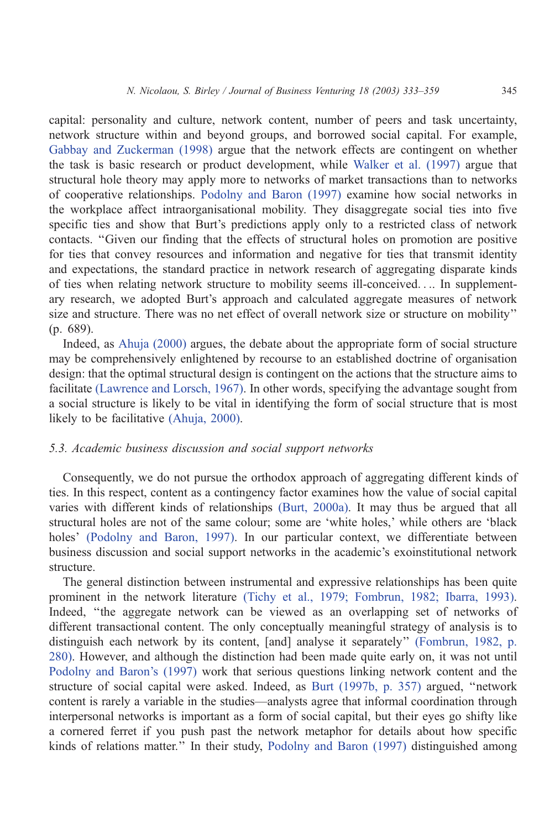capital: personality and culture, network content, number of peers and task uncertainty, network structure within and beyond groups, and borrowed social capital. For example, [Gabbay and Zuckerman \(1998\)](#page-22-0) argue that the network effects are contingent on whether the task is basic research or product development, while [Walker et al. \(1997\)](#page-26-0) argue that structural hole theory may apply more to networks of market transactions than to networks of cooperative relationships. [Podolny and Baron \(1997\)](#page-24-0) examine how social networks in the workplace affect intraorganisational mobility. They disaggregate social ties into five specific ties and show that Burt's predictions apply only to a restricted class of network contacts. ''Given our finding that the effects of structural holes on promotion are positive for ties that convey resources and information and negative for ties that transmit identity and expectations, the standard practice in network research of aggregating disparate kinds of ties when relating network structure to mobility seems ill-conceived.... In supplementary research, we adopted Burt's approach and calculated aggregate measures of network size and structure. There was no net effect of overall network size or structure on mobility'' (p. 689).

Indeed, as [Ahuja \(2000\)](#page-20-0) argues, the debate about the appropriate form of social structure may be comprehensively enlightened by recourse to an established doctrine of organisation design: that the optimal structural design is contingent on the actions that the structure aims to facilitate [\(Lawrence and Lorsch, 1967\).](#page-23-0) In other words, specifying the advantage sought from a social structure is likely to be vital in identifying the form of social structure that is most likely to be facilitative [\(Ahuja, 2000\).](#page-20-0)

### 5.3. Academic business discussion and social support networks

Consequently, we do not pursue the orthodox approach of aggregating different kinds of ties. In this respect, content as a contingency factor examines how the value of social capital varies with different kinds of relationships [\(Burt, 2000a\).](#page-21-0) It may thus be argued that all structural holes are not of the same colour; some are 'white holes,' while others are 'black holes' [\(Podolny and Baron, 1997\).](#page-24-0) In our particular context, we differentiate between business discussion and social support networks in the academic's exoinstitutional network structure.

The general distinction between instrumental and expressive relationships has been quite prominent in the network literature [\(Tichy et al., 1979; Fombrun, 1982; Ibarra, 1993\).](#page-25-0) Indeed, ''the aggregate network can be viewed as an overlapping set of networks of different transactional content. The only conceptually meaningful strategy of analysis is to distinguish each network by its content, [and] analyse it separately'' [\(Fombrun, 1982, p.](#page-22-0) 280). However, and although the distinction had been made quite early on, it was not until [Podolny and Baron's \(1997\)](#page-24-0) work that serious questions linking network content and the structure of social capital were asked. Indeed, as [Burt \(1997b, p. 357\)](#page-21-0) argued, ''network content is rarely a variable in the studies—analysts agree that informal coordination through interpersonal networks is important as a form of social capital, but their eyes go shifty like a cornered ferret if you push past the network metaphor for details about how specific kinds of relations matter.'' In their study, [Podolny and Baron \(1997\)](#page-24-0) distinguished among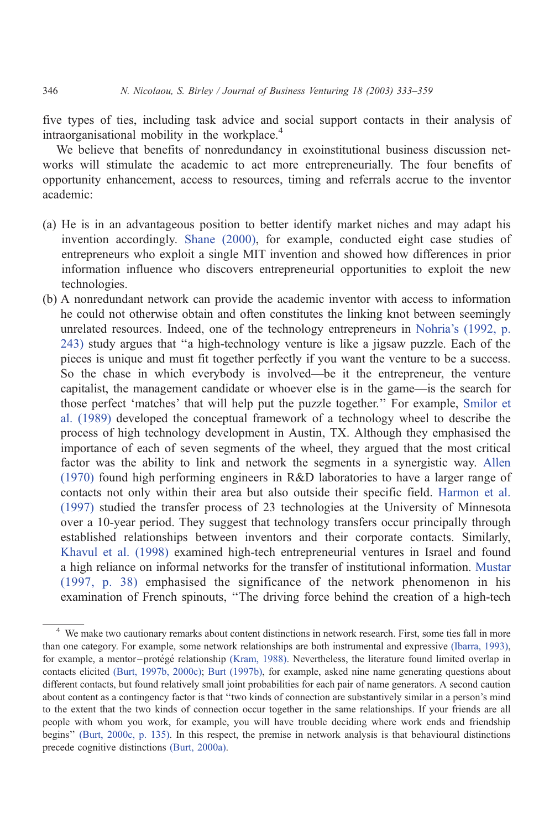five types of ties, including task advice and social support contacts in their analysis of intraorganisational mobility in the workplace. $4$ 

We believe that benefits of nonredundancy in exoinstitutional business discussion networks will stimulate the academic to act more entrepreneurially. The four benefits of opportunity enhancement, access to resources, timing and referrals accrue to the inventor academic:

- (a) He is in an advantageous position to better identify market niches and may adapt his invention accordingly. [Shane \(2000\),](#page-25-0) for example, conducted eight case studies of entrepreneurs who exploit a single MIT invention and showed how differences in prior information influence who discovers entrepreneurial opportunities to exploit the new technologies.
- (b) A nonredundant network can provide the academic inventor with access to information he could not otherwise obtain and often constitutes the linking knot between seemingly unrelated resources. Indeed, one of the technology entrepreneurs in [Nohria's \(1992, p.](#page-24-0) 243) study argues that ''a high-technology venture is like a jigsaw puzzle. Each of the pieces is unique and must fit together perfectly if you want the venture to be a success. So the chase in which everybody is involved—be it the entrepreneur, the venture capitalist, the management candidate or whoever else is in the game—is the search for those perfect 'matches' that will help put the puzzle together.'' For example, [Smilor et](#page-25-0) al. (1989) developed the conceptual framework of a technology wheel to describe the process of high technology development in Austin, TX. Although they emphasised the importance of each of seven segments of the wheel, they argued that the most critical factor was the ability to link and network the segments in a synergistic way. [Allen](#page-20-0) (1970) found high performing engineers in R&D laboratories to have a larger range of contacts not only within their area but also outside their specific field. [Harmon et al.](#page-22-0) (1997) studied the transfer process of 23 technologies at the University of Minnesota over a 10-year period. They suggest that technology transfers occur principally through established relationships between inventors and their corporate contacts. Similarly, [Khavul et al. \(1998\)](#page-23-0) examined high-tech entrepreneurial ventures in Israel and found a high reliance on informal networks for the transfer of institutional information. [Mustar](#page-24-0) (1997, p. 38) emphasised the significance of the network phenomenon in his examination of French spinouts, ''The driving force behind the creation of a high-tech

<sup>4</sup> We make two cautionary remarks about content distinctions in network research. First, some ties fall in more than one category. For example, some network relationships are both instrumental and expressive [\(Ibarra, 1993\),](#page-23-0) for example, a mentor-protégé relationship [\(Kram, 1988\).](#page-23-0) Nevertheless, the literature found limited overlap in contacts elicited [\(Burt, 1997b, 2000c\);](#page-21-0) [Burt \(1997b\),](#page-21-0) for example, asked nine name generating questions about different contacts, but found relatively small joint probabilities for each pair of name generators. A second caution about content as a contingency factor is that ''two kinds of connection are substantively similar in a person's mind to the extent that the two kinds of connection occur together in the same relationships. If your friends are all people with whom you work, for example, you will have trouble deciding where work ends and friendship begins'' [\(Burt, 2000c, p. 135\).](#page-21-0) In this respect, the premise in network analysis is that behavioural distinctions precede cognitive distinctions [\(Burt, 2000a\).](#page-21-0)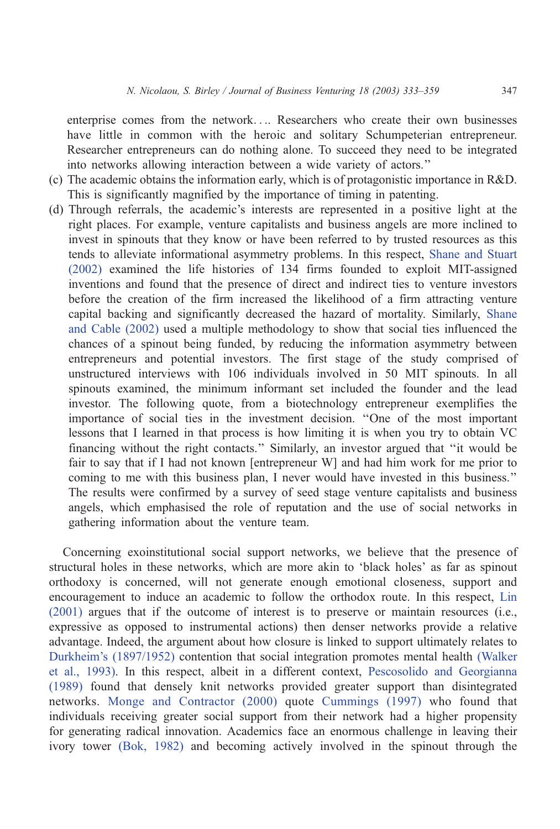enterprise comes from the network.... Researchers who create their own businesses have little in common with the heroic and solitary Schumpeterian entrepreneur. Researcher entrepreneurs can do nothing alone. To succeed they need to be integrated into networks allowing interaction between a wide variety of actors.''

- (c) The academic obtains the information early, which is of protagonistic importance in R&D. This is significantly magnified by the importance of timing in patenting.
- (d) Through referrals, the academic's interests are represented in a positive light at the right places. For example, venture capitalists and business angels are more inclined to invest in spinouts that they know or have been referred to by trusted resources as this tends to alleviate informational asymmetry problems. In this respect, [Shane and Stuart](#page-25-0) (2002) examined the life histories of 134 firms founded to exploit MIT-assigned inventions and found that the presence of direct and indirect ties to venture investors before the creation of the firm increased the likelihood of a firm attracting venture capital backing and significantly decreased the hazard of mortality. Similarly, [Shane](#page-25-0) and Cable (2002) used a multiple methodology to show that social ties influenced the chances of a spinout being funded, by reducing the information asymmetry between entrepreneurs and potential investors. The first stage of the study comprised of unstructured interviews with 106 individuals involved in 50 MIT spinouts. In all spinouts examined, the minimum informant set included the founder and the lead investor. The following quote, from a biotechnology entrepreneur exemplifies the importance of social ties in the investment decision. ''One of the most important lessons that I learned in that process is how limiting it is when you try to obtain VC financing without the right contacts.'' Similarly, an investor argued that ''it would be fair to say that if I had not known [entrepreneur W] and had him work for me prior to coming to me with this business plan, I never would have invested in this business.'' The results were confirmed by a survey of seed stage venture capitalists and business angels, which emphasised the role of reputation and the use of social networks in gathering information about the venture team.

Concerning exoinstitutional social support networks, we believe that the presence of structural holes in these networks, which are more akin to 'black holes' as far as spinout orthodoxy is concerned, will not generate enough emotional closeness, support and encouragement to induce an academic to follow the orthodox route. In this respect, [Lin](#page-23-0) (2001) argues that if the outcome of interest is to preserve or maintain resources (i.e., expressive as opposed to instrumental actions) then denser networks provide a relative advantage. Indeed, the argument about how closure is linked to support ultimately relates to [Durkheim's \(1897/1952\)](#page-22-0) contention that social integration promotes mental health [\(Walker](#page-25-0) et al., 1993). In this respect, albeit in a different context, [Pescosolido and Georgianna](#page-24-0) (1989) found that densely knit networks provided greater support than disintegrated networks. [Monge and Contractor \(2000\)](#page-23-0) quote [Cummings \(1997\)](#page-21-0) who found that individuals receiving greater social support from their network had a higher propensity for generating radical innovation. Academics face an enormous challenge in leaving their ivory tower [\(Bok, 1982\)](#page-21-0) and becoming actively involved in the spinout through the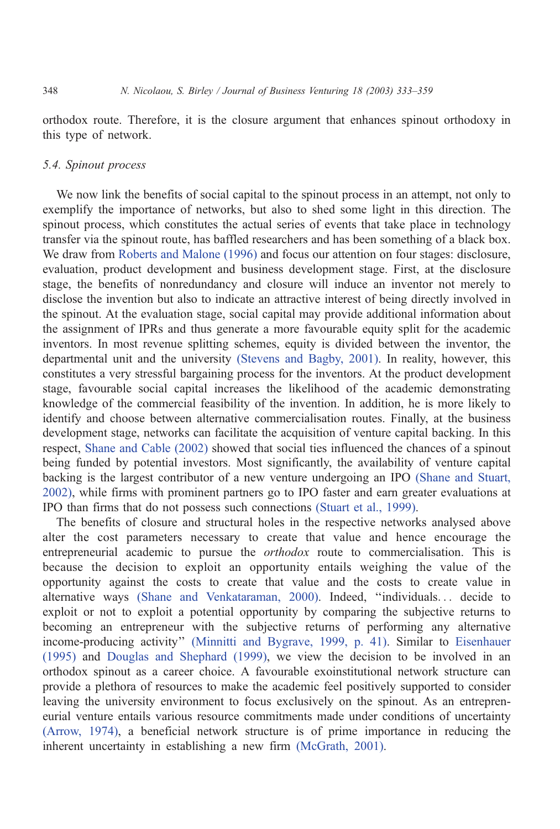orthodox route. Therefore, it is the closure argument that enhances spinout orthodoxy in this type of network.

# 5.4. Spinout process

We now link the benefits of social capital to the spinout process in an attempt, not only to exemplify the importance of networks, but also to shed some light in this direction. The spinout process, which constitutes the actual series of events that take place in technology transfer via the spinout route, has baffled researchers and has been something of a black box. We draw from [Roberts and Malone \(1996\)](#page-24-0) and focus our attention on four stages: disclosure, evaluation, product development and business development stage. First, at the disclosure stage, the benefits of nonredundancy and closure will induce an inventor not merely to disclose the invention but also to indicate an attractive interest of being directly involved in the spinout. At the evaluation stage, social capital may provide additional information about the assignment of IPRs and thus generate a more favourable equity split for the academic inventors. In most revenue splitting schemes, equity is divided between the inventor, the departmental unit and the university [\(Stevens and Bagby, 2001\).](#page-25-0) In reality, however, this constitutes a very stressful bargaining process for the inventors. At the product development stage, favourable social capital increases the likelihood of the academic demonstrating knowledge of the commercial feasibility of the invention. In addition, he is more likely to identify and choose between alternative commercialisation routes. Finally, at the business development stage, networks can facilitate the acquisition of venture capital backing. In this respect, [Shane and Cable \(2002\)](#page-25-0) showed that social ties influenced the chances of a spinout being funded by potential investors. Most significantly, the availability of venture capital backing is the largest contributor of a new venture undergoing an IPO [\(Shane and Stuart,](#page-25-0) 2002), while firms with prominent partners go to IPO faster and earn greater evaluations at IPO than firms that do not possess such connections [\(Stuart et al., 1999\).](#page-25-0)

The benefits of closure and structural holes in the respective networks analysed above alter the cost parameters necessary to create that value and hence encourage the entrepreneurial academic to pursue the orthodox route to commercialisation. This is because the decision to exploit an opportunity entails weighing the value of the opportunity against the costs to create that value and the costs to create value in alternative ways [\(Shane and Venkataraman, 2000\).](#page-25-0) Indeed, ''individuals... decide to exploit or not to exploit a potential opportunity by comparing the subjective returns to becoming an entrepreneur with the subjective returns of performing any alternative income-producing activity'' [\(Minnitti and Bygrave, 1999, p. 41\).](#page-23-0) Similar to [Eisenhauer](#page-22-0) (1995) and [Douglas and Shephard \(1999\),](#page-22-0) we view the decision to be involved in an orthodox spinout as a career choice. A favourable exoinstitutional network structure can provide a plethora of resources to make the academic feel positively supported to consider leaving the university environment to focus exclusively on the spinout. As an entrepreneurial venture entails various resource commitments made under conditions of uncertainty [\(Arrow, 1974\),](#page-21-0) a beneficial network structure is of prime importance in reducing the inherent uncertainty in establishing a new firm [\(McGrath, 2001\).](#page-23-0)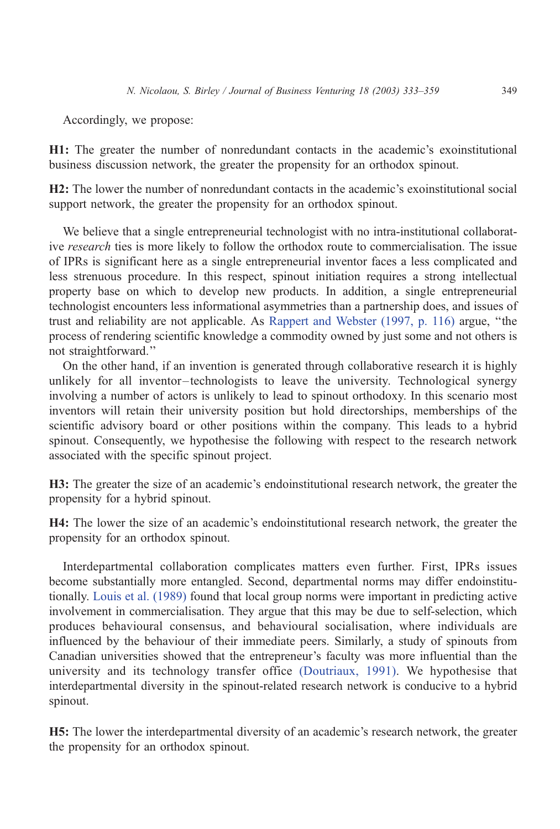Accordingly, we propose:

H1: The greater the number of nonredundant contacts in the academic's exoinstitutional business discussion network, the greater the propensity for an orthodox spinout.

H2: The lower the number of nonredundant contacts in the academic's exoinstitutional social support network, the greater the propensity for an orthodox spinout.

We believe that a single entrepreneurial technologist with no intra-institutional collaborative *research* ties is more likely to follow the orthodox route to commercialisation. The issue of IPRs is significant here as a single entrepreneurial inventor faces a less complicated and less strenuous procedure. In this respect, spinout initiation requires a strong intellectual property base on which to develop new products. In addition, a single entrepreneurial technologist encounters less informational asymmetries than a partnership does, and issues of trust and reliability are not applicable. As [Rappert and Webster \(1997, p. 116\)](#page-24-0) argue, ''the process of rendering scientific knowledge a commodity owned by just some and not others is not straightforward.''

On the other hand, if an invention is generated through collaborative research it is highly unlikely for all inventor –technologists to leave the university. Technological synergy involving a number of actors is unlikely to lead to spinout orthodoxy. In this scenario most inventors will retain their university position but hold directorships, memberships of the scientific advisory board or other positions within the company. This leads to a hybrid spinout. Consequently, we hypothesise the following with respect to the research network associated with the specific spinout project.

H3: The greater the size of an academic's endoinstitutional research network, the greater the propensity for a hybrid spinout.

H4: The lower the size of an academic's endoinstitutional research network, the greater the propensity for an orthodox spinout.

Interdepartmental collaboration complicates matters even further. First, IPRs issues become substantially more entangled. Second, departmental norms may differ endoinstitutionally. [Louis et al. \(1989\)](#page-23-0) found that local group norms were important in predicting active involvement in commercialisation. They argue that this may be due to self-selection, which produces behavioural consensus, and behavioural socialisation, where individuals are influenced by the behaviour of their immediate peers. Similarly, a study of spinouts from Canadian universities showed that the entrepreneur's faculty was more influential than the university and its technology transfer office [\(Doutriaux, 1991\).](#page-22-0) We hypothesise that interdepartmental diversity in the spinout-related research network is conducive to a hybrid spinout.

H5: The lower the interdepartmental diversity of an academic's research network, the greater the propensity for an orthodox spinout.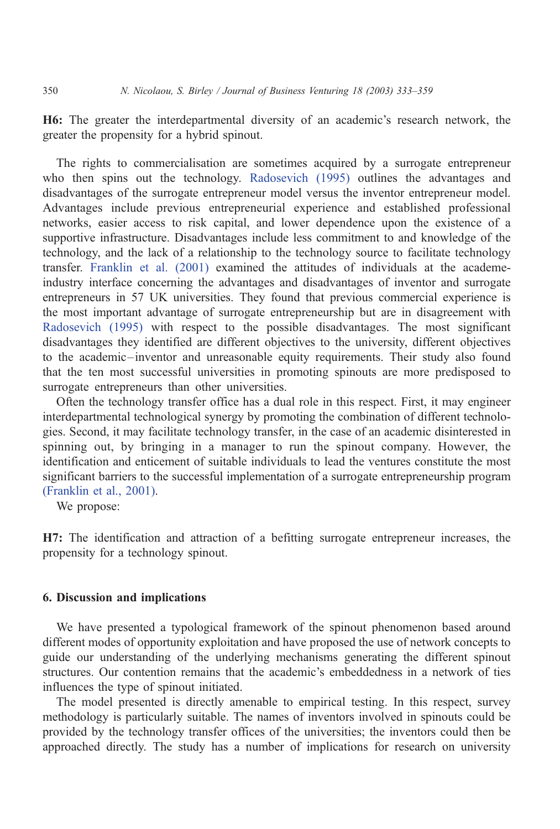H6: The greater the interdepartmental diversity of an academic's research network, the greater the propensity for a hybrid spinout.

The rights to commercialisation are sometimes acquired by a surrogate entrepreneur who then spins out the technology. [Radosevich \(1995\)](#page-24-0) outlines the advantages and disadvantages of the surrogate entrepreneur model versus the inventor entrepreneur model. Advantages include previous entrepreneurial experience and established professional networks, easier access to risk capital, and lower dependence upon the existence of a supportive infrastructure. Disadvantages include less commitment to and knowledge of the technology, and the lack of a relationship to the technology source to facilitate technology transfer. [Franklin et al. \(2001\)](#page-22-0) examined the attitudes of individuals at the academeindustry interface concerning the advantages and disadvantages of inventor and surrogate entrepreneurs in 57 UK universities. They found that previous commercial experience is the most important advantage of surrogate entrepreneurship but are in disagreement with [Radosevich \(1995\)](#page-24-0) with respect to the possible disadvantages. The most significant disadvantages they identified are different objectives to the university, different objectives to the academic–inventor and unreasonable equity requirements. Their study also found that the ten most successful universities in promoting spinouts are more predisposed to surrogate entrepreneurs than other universities.

Often the technology transfer office has a dual role in this respect. First, it may engineer interdepartmental technological synergy by promoting the combination of different technologies. Second, it may facilitate technology transfer, in the case of an academic disinterested in spinning out, by bringing in a manager to run the spinout company. However, the identification and enticement of suitable individuals to lead the ventures constitute the most significant barriers to the successful implementation of a surrogate entrepreneurship program [\(Franklin et al., 2001\).](#page-22-0)

We propose:

H7: The identification and attraction of a befitting surrogate entrepreneur increases, the propensity for a technology spinout.

## 6. Discussion and implications

We have presented a typological framework of the spinout phenomenon based around different modes of opportunity exploitation and have proposed the use of network concepts to guide our understanding of the underlying mechanisms generating the different spinout structures. Our contention remains that the academic's embeddedness in a network of ties influences the type of spinout initiated.

The model presented is directly amenable to empirical testing. In this respect, survey methodology is particularly suitable. The names of inventors involved in spinouts could be provided by the technology transfer offices of the universities; the inventors could then be approached directly. The study has a number of implications for research on university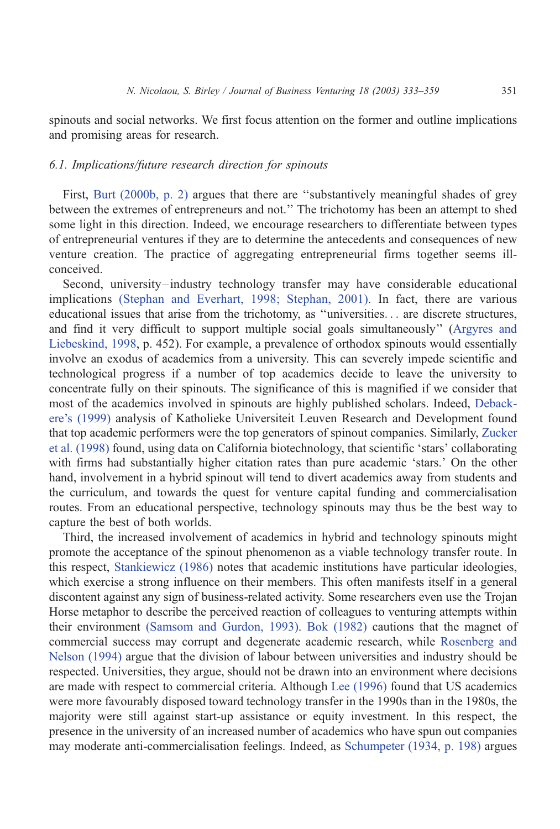spinouts and social networks. We first focus attention on the former and outline implications and promising areas for research.

#### 6.1. Implications/future research direction for spinouts

First, [Burt \(2000b, p. 2\)](#page-21-0) argues that there are ''substantively meaningful shades of grey between the extremes of entrepreneurs and not.'' The trichotomy has been an attempt to shed some light in this direction. Indeed, we encourage researchers to differentiate between types of entrepreneurial ventures if they are to determine the antecedents and consequences of new venture creation. The practice of aggregating entrepreneurial firms together seems illconceived.

Second, university–industry technology transfer may have considerable educational implications [\(Stephan and Everhart, 1998; Stephan, 2001\).](#page-25-0) In fact, there are various educational issues that arise from the trichotomy, as ''universities... are discrete structures, and find it very difficult to support multiple social goals simultaneously'' ([Argyres and](#page-20-0) Liebeskind, 1998, p. 452). For example, a prevalence of orthodox spinouts would essentially involve an exodus of academics from a university. This can severely impede scientific and technological progress if a number of top academics decide to leave the university to concentrate fully on their spinouts. The significance of this is magnified if we consider that most of the academics involved in spinouts are highly published scholars. Indeed, [Deback](#page-22-0)ere's (1999) analysis of Katholieke Universiteit Leuven Research and Development found that top academic performers were the top generators of spinout companies. Similarly, [Zucker](#page-26-0) et al. (1998) found, using data on California biotechnology, that scientific 'stars' collaborating with firms had substantially higher citation rates than pure academic 'stars.' On the other hand, involvement in a hybrid spinout will tend to divert academics away from students and the curriculum, and towards the quest for venture capital funding and commercialisation routes. From an educational perspective, technology spinouts may thus be the best way to capture the best of both worlds.

Third, the increased involvement of academics in hybrid and technology spinouts might promote the acceptance of the spinout phenomenon as a viable technology transfer route. In this respect, [Stankiewicz \(1986\)](#page-25-0) notes that academic institutions have particular ideologies, which exercise a strong influence on their members. This often manifests itself in a general discontent against any sign of business-related activity. Some researchers even use the Trojan Horse metaphor to describe the perceived reaction of colleagues to venturing attempts within their environment [\(Samsom and Gurdon, 1993\).](#page-24-0) [Bok \(1982\)](#page-21-0) cautions that the magnet of commercial success may corrupt and degenerate academic research, while [Rosenberg and](#page-24-0) Nelson (1994) argue that the division of labour between universities and industry should be respected. Universities, they argue, should not be drawn into an environment where decisions are made with respect to commercial criteria. Although [Lee \(1996\)](#page-23-0) found that US academics were more favourably disposed toward technology transfer in the 1990s than in the 1980s, the majority were still against start-up assistance or equity investment. In this respect, the presence in the university of an increased number of academics who have spun out companies may moderate anti-commercialisation feelings. Indeed, as [Schumpeter \(1934, p. 198\)](#page-24-0) argues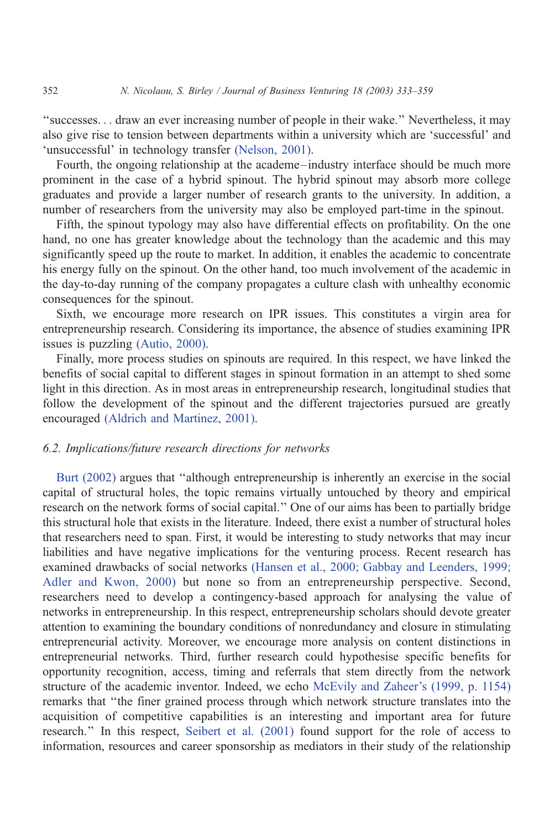''successes... draw an ever increasing number of people in their wake.'' Nevertheless, it may also give rise to tension between departments within a university which are 'successful' and 'unsuccessful' in technology transfer [\(Nelson, 2001\).](#page-24-0)

Fourth, the ongoing relationship at the academe–industry interface should be much more prominent in the case of a hybrid spinout. The hybrid spinout may absorb more college graduates and provide a larger number of research grants to the university. In addition, a number of researchers from the university may also be employed part-time in the spinout.

Fifth, the spinout typology may also have differential effects on profitability. On the one hand, no one has greater knowledge about the technology than the academic and this may significantly speed up the route to market. In addition, it enables the academic to concentrate his energy fully on the spinout. On the other hand, too much involvement of the academic in the day-to-day running of the company propagates a culture clash with unhealthy economic consequences for the spinout.

Sixth, we encourage more research on IPR issues. This constitutes a virgin area for entrepreneurship research. Considering its importance, the absence of studies examining IPR issues is puzzling [\(Autio, 2000\).](#page-21-0)

Finally, more process studies on spinouts are required. In this respect, we have linked the benefits of social capital to different stages in spinout formation in an attempt to shed some light in this direction. As in most areas in entrepreneurship research, longitudinal studies that follow the development of the spinout and the different trajectories pursued are greatly encouraged [\(Aldrich and Martinez, 2001\).](#page-20-0)

## 6.2. Implications/future research directions for networks

[Burt \(2002\)](#page-21-0) argues that ''although entrepreneurship is inherently an exercise in the social capital of structural holes, the topic remains virtually untouched by theory and empirical research on the network forms of social capital.'' One of our aims has been to partially bridge this structural hole that exists in the literature. Indeed, there exist a number of structural holes that researchers need to span. First, it would be interesting to study networks that may incur liabilities and have negative implications for the venturing process. Recent research has examined drawbacks of social networks [\(Hansen et al., 2000; Gabbay and Leenders, 1999;](#page-22-0) Adler and Kwon, 2000) but none so from an entrepreneurship perspective. Second, researchers need to develop a contingency-based approach for analysing the value of networks in entrepreneurship. In this respect, entrepreneurship scholars should devote greater attention to examining the boundary conditions of nonredundancy and closure in stimulating entrepreneurial activity. Moreover, we encourage more analysis on content distinctions in entrepreneurial networks. Third, further research could hypothesise specific benefits for opportunity recognition, access, timing and referrals that stem directly from the network structure of the academic inventor. Indeed, we echo [McEvily and Zaheer's \(1999, p. 1154\)](#page-23-0) remarks that ''the finer grained process through which network structure translates into the acquisition of competitive capabilities is an interesting and important area for future research.'' In this respect, [Seibert et al. \(2001\)](#page-25-0) found support for the role of access to information, resources and career sponsorship as mediators in their study of the relationship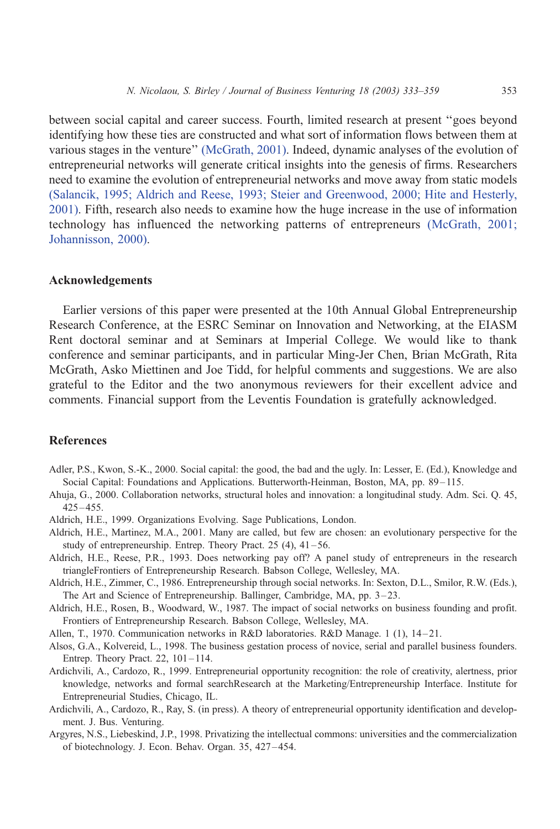<span id="page-20-0"></span>between social capital and career success. Fourth, limited research at present ''goes beyond identifying how these ties are constructed and what sort of information flows between them at various stages in the venture'' [\(McGrath, 2001\).](#page-23-0) Indeed, dynamic analyses of the evolution of entrepreneurial networks will generate critical insights into the genesis of firms. Researchers need to examine the evolution of entrepreneurial networks and move away from static models [\(Salancik, 1995; Aldrich and Reese, 1993; Steier and Greenwood, 2000; Hite and Hesterly,](#page-24-0) 2001). Fifth, research also needs to examine how the huge increase in the use of information technology has influenced the networking patterns of entrepreneurs [\(McGrath, 2001;](#page-23-0) Johannisson, 2000).

#### Acknowledgements

Earlier versions of this paper were presented at the 10th Annual Global Entrepreneurship Research Conference, at the ESRC Seminar on Innovation and Networking, at the EIASM Rent doctoral seminar and at Seminars at Imperial College. We would like to thank conference and seminar participants, and in particular Ming-Jer Chen, Brian McGrath, Rita McGrath, Asko Miettinen and Joe Tidd, for helpful comments and suggestions. We are also grateful to the Editor and the two anonymous reviewers for their excellent advice and comments. Financial support from the Leventis Foundation is gratefully acknowledged.

# References

- Adler, P.S., Kwon, S.-K., 2000. Social capital: the good, the bad and the ugly. In: Lesser, E. (Ed.), Knowledge and Social Capital: Foundations and Applications. Butterworth-Heinman, Boston, MA, pp. 89-115.
- Ahuja, G., 2000. Collaboration networks, structural holes and innovation: a longitudinal study. Adm. Sci. Q. 45, 425 – 455.
- Aldrich, H.E., 1999. Organizations Evolving. Sage Publications, London.
- Aldrich, H.E., Martinez, M.A., 2001. Many are called, but few are chosen: an evolutionary perspective for the study of entrepreneurship. Entrep. Theory Pract. 25 (4), 41 – 56.
- Aldrich, H.E., Reese, P.R., 1993. Does networking pay off? A panel study of entrepreneurs in the research triangleFrontiers of Entrepreneurship Research. Babson College, Wellesley, MA.
- Aldrich, H.E., Zimmer, C., 1986. Entrepreneurship through social networks. In: Sexton, D.L., Smilor, R.W. (Eds.), The Art and Science of Entrepreneurship. Ballinger, Cambridge, MA, pp. 3-23.
- Aldrich, H.E., Rosen, B., Woodward, W., 1987. The impact of social networks on business founding and profit. Frontiers of Entrepreneurship Research. Babson College, Wellesley, MA.
- Allen, T., 1970. Communication networks in R&D laboratories. R&D Manage. 1 (1), 14-21.
- Alsos, G.A., Kolvereid, L., 1998. The business gestation process of novice, serial and parallel business founders. Entrep. Theory Pract. 22, 101-114.
- Ardichvili, A., Cardozo, R., 1999. Entrepreneurial opportunity recognition: the role of creativity, alertness, prior knowledge, networks and formal searchResearch at the Marketing/Entrepreneurship Interface. Institute for Entrepreneurial Studies, Chicago, IL.
- Ardichvili, A., Cardozo, R., Ray, S. (in press). A theory of entrepreneurial opportunity identification and development. J. Bus. Venturing.
- Argyres, N.S., Liebeskind, J.P., 1998. Privatizing the intellectual commons: universities and the commercialization of biotechnology. J. Econ. Behav. Organ. 35, 427 – 454.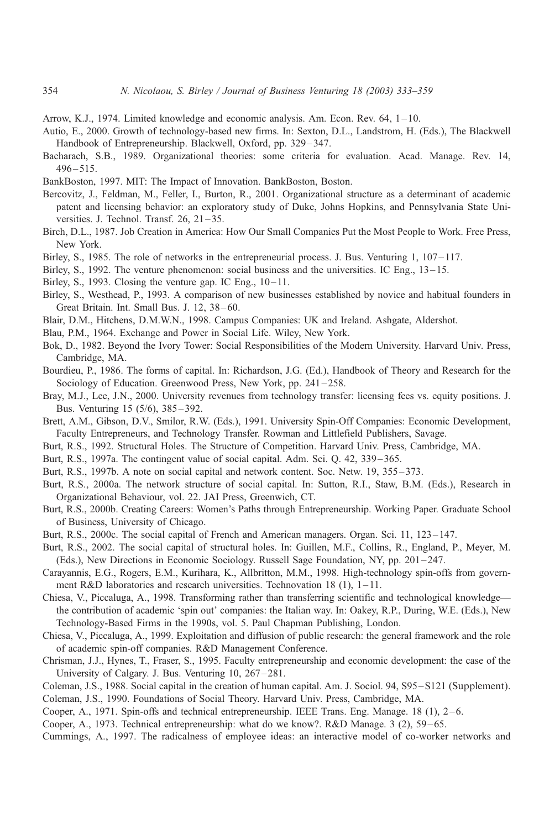- <span id="page-21-0"></span>Arrow, K.J., 1974. Limited knowledge and economic analysis. Am. Econ. Rev.  $64$ ,  $1-10$ .
- Autio, E., 2000. Growth of technology-based new firms. In: Sexton, D.L., Landstrom, H. (Eds.), The Blackwell Handbook of Entrepreneurship. Blackwell, Oxford, pp. 329-347.
- Bacharach, S.B., 1989. Organizational theories: some criteria for evaluation. Acad. Manage. Rev. 14,  $496 - 515$ .

BankBoston, 1997. MIT: The Impact of Innovation. BankBoston, Boston.

- Bercovitz, J., Feldman, M., Feller, I., Burton, R., 2001. Organizational structure as a determinant of academic patent and licensing behavior: an exploratory study of Duke, Johns Hopkins, and Pennsylvania State Universities. J. Technol. Transf. 26, 21-35.
- Birch, D.L., 1987. Job Creation in America: How Our Small Companies Put the Most People to Work. Free Press, New York.
- Birley, S., 1985. The role of networks in the entrepreneurial process. J. Bus. Venturing 1, 107-117.
- Birley, S., 1992. The venture phenomenon: social business and the universities. IC Eng.,  $13-15$ .
- Birley, S., 1993. Closing the venture gap. IC Eng., 10-11.
- Birley, S., Westhead, P., 1993. A comparison of new businesses established by novice and habitual founders in Great Britain. Int. Small Bus. J. 12, 38 – 60.
- Blair, D.M., Hitchens, D.M.W.N., 1998. Campus Companies: UK and Ireland. Ashgate, Aldershot.
- Blau, P.M., 1964. Exchange and Power in Social Life. Wiley, New York.
- Bok, D., 1982. Beyond the Ivory Tower: Social Responsibilities of the Modern University. Harvard Univ. Press, Cambridge, MA.
- Bourdieu, P., 1986. The forms of capital. In: Richardson, J.G. (Ed.), Handbook of Theory and Research for the Sociology of Education. Greenwood Press, New York, pp. 241–258.
- Bray, M.J., Lee, J.N., 2000. University revenues from technology transfer: licensing fees vs. equity positions. J. Bus. Venturing 15 (5/6), 385 – 392.
- Brett, A.M., Gibson, D.V., Smilor, R.W. (Eds.), 1991. University Spin-Off Companies: Economic Development, Faculty Entrepreneurs, and Technology Transfer. Rowman and Littlefield Publishers, Savage.
- Burt, R.S., 1992. Structural Holes. The Structure of Competition. Harvard Univ. Press, Cambridge, MA.
- Burt, R.S., 1997a. The contingent value of social capital. Adm. Sci. Q. 42, 339–365.
- Burt, R.S., 1997b. A note on social capital and network content. Soc. Netw. 19, 355 373.
- Burt, R.S., 2000a. The network structure of social capital. In: Sutton, R.I., Staw, B.M. (Eds.), Research in Organizational Behaviour, vol. 22. JAI Press, Greenwich, CT.
- Burt, R.S., 2000b. Creating Careers: Women's Paths through Entrepreneurship. Working Paper. Graduate School of Business, University of Chicago.
- Burt, R.S., 2000c. The social capital of French and American managers. Organ. Sci. 11, 123 147.
- Burt, R.S., 2002. The social capital of structural holes. In: Guillen, M.F., Collins, R., England, P., Meyer, M. (Eds.), New Directions in Economic Sociology. Russell Sage Foundation, NY, pp. 201 – 247.
- Carayannis, E.G., Rogers, E.M., Kurihara, K., Allbritton, M.M., 1998. High-technology spin-offs from government R&D laboratories and research universities. Technovation  $18$  (1),  $1-11$ .
- Chiesa, V., Piccaluga, A., 1998. Transforming rather than transferring scientific and technological knowledge the contribution of academic 'spin out' companies: the Italian way. In: Oakey, R.P., During, W.E. (Eds.), New Technology-Based Firms in the 1990s, vol. 5. Paul Chapman Publishing, London.
- Chiesa, V., Piccaluga, A., 1999. Exploitation and diffusion of public research: the general framework and the role of academic spin-off companies. R&D Management Conference.
- Chrisman, J.J., Hynes, T., Fraser, S., 1995. Faculty entrepreneurship and economic development: the case of the University of Calgary. J. Bus. Venturing 10, 267–281.
- Coleman, J.S., 1988. Social capital in the creation of human capital. Am. J. Sociol. 94, S95 S121 (Supplement). Coleman, J.S., 1990. Foundations of Social Theory. Harvard Univ. Press, Cambridge, MA.
- Cooper, A., 1971. Spin-offs and technical entrepreneurship. IEEE Trans. Eng. Manage. 18 (1), 2-6.
- Cooper, A., 1973. Technical entrepreneurship: what do we know?. R&D Manage. 3 (2), 59–65.

Cummings, A., 1997. The radicalness of employee ideas: an interactive model of co-worker networks and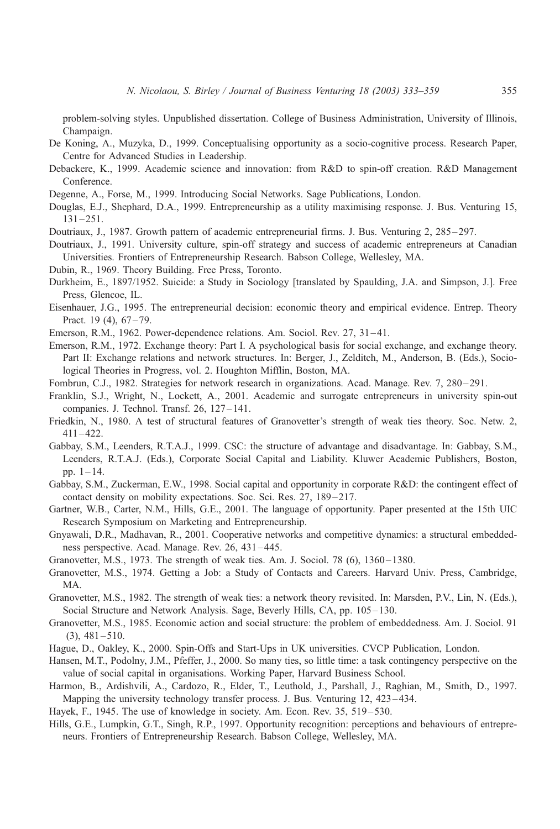<span id="page-22-0"></span>problem-solving styles. Unpublished dissertation. College of Business Administration, University of Illinois, Champaign.

- De Koning, A., Muzyka, D., 1999. Conceptualising opportunity as a socio-cognitive process. Research Paper, Centre for Advanced Studies in Leadership.
- Debackere, K., 1999. Academic science and innovation: from R&D to spin-off creation. R&D Management Conference.
- Degenne, A., Forse, M., 1999. Introducing Social Networks. Sage Publications, London.
- Douglas, E.J., Shephard, D.A., 1999. Entrepreneurship as a utility maximising response. J. Bus. Venturing 15,  $131 - 251.$
- Doutriaux, J., 1987. Growth pattern of academic entrepreneurial firms. J. Bus. Venturing 2, 285 297.
- Doutriaux, J., 1991. University culture, spin-off strategy and success of academic entrepreneurs at Canadian Universities. Frontiers of Entrepreneurship Research. Babson College, Wellesley, MA.
- Dubin, R., 1969. Theory Building. Free Press, Toronto.
- Durkheim, E., 1897/1952. Suicide: a Study in Sociology [translated by Spaulding, J.A. and Simpson, J.]. Free Press, Glencoe, IL.
- Eisenhauer, J.G., 1995. The entrepreneurial decision: economic theory and empirical evidence. Entrep. Theory Pract. 19 (4), 67-79.
- Emerson, R.M., 1962. Power-dependence relations. Am. Sociol. Rev. 27, 31-41.
- Emerson, R.M., 1972. Exchange theory: Part I. A psychological basis for social exchange, and exchange theory. Part II: Exchange relations and network structures. In: Berger, J., Zelditch, M., Anderson, B. (Eds.), Sociological Theories in Progress, vol. 2. Houghton Mifflin, Boston, MA.
- Fombrun, C.J., 1982. Strategies for network research in organizations. Acad. Manage. Rev. 7, 280–291.
- Franklin, S.J., Wright, N., Lockett, A., 2001. Academic and surrogate entrepreneurs in university spin-out companies. J. Technol. Transf. 26, 127-141.
- Friedkin, N., 1980. A test of structural features of Granovetter's strength of weak ties theory. Soc. Netw. 2,  $411 - 422$ .
- Gabbay, S.M., Leenders, R.T.A.J., 1999. CSC: the structure of advantage and disadvantage. In: Gabbay, S.M., Leenders, R.T.A.J. (Eds.), Corporate Social Capital and Liability. Kluwer Academic Publishers, Boston, pp.  $1 - 14$ .
- Gabbay, S.M., Zuckerman, E.W., 1998. Social capital and opportunity in corporate R&D: the contingent effect of contact density on mobility expectations. Soc. Sci. Res. 27, 189–217.
- Gartner, W.B., Carter, N.M., Hills, G.E., 2001. The language of opportunity. Paper presented at the 15th UIC Research Symposium on Marketing and Entrepreneurship.
- Gnyawali, D.R., Madhavan, R., 2001. Cooperative networks and competitive dynamics: a structural embeddedness perspective. Acad. Manage. Rev. 26, 431 – 445.
- Granovetter, M.S., 1973. The strength of weak ties. Am. J. Sociol. 78 (6), 1360 1380.
- Granovetter, M.S., 1974. Getting a Job: a Study of Contacts and Careers. Harvard Univ. Press, Cambridge, MA.
- Granovetter, M.S., 1982. The strength of weak ties: a network theory revisited. In: Marsden, P.V., Lin, N. (Eds.), Social Structure and Network Analysis. Sage, Beverly Hills, CA, pp. 105–130.
- Granovetter, M.S., 1985. Economic action and social structure: the problem of embeddedness. Am. J. Sociol. 91  $(3)$ ,  $481 - 510$ .
- Hague, D., Oakley, K., 2000. Spin-Offs and Start-Ups in UK universities. CVCP Publication, London.
- Hansen, M.T., Podolny, J.M., Pfeffer, J., 2000. So many ties, so little time: a task contingency perspective on the value of social capital in organisations. Working Paper, Harvard Business School.
- Harmon, B., Ardishvili, A., Cardozo, R., Elder, T., Leuthold, J., Parshall, J., Raghian, M., Smith, D., 1997. Mapping the university technology transfer process. J. Bus. Venturing 12, 423–434.
- Hayek, F., 1945. The use of knowledge in society. Am. Econ. Rev. 35, 519–530.
- Hills, G.E., Lumpkin, G.T., Singh, R.P., 1997. Opportunity recognition: perceptions and behaviours of entrepreneurs. Frontiers of Entrepreneurship Research. Babson College, Wellesley, MA.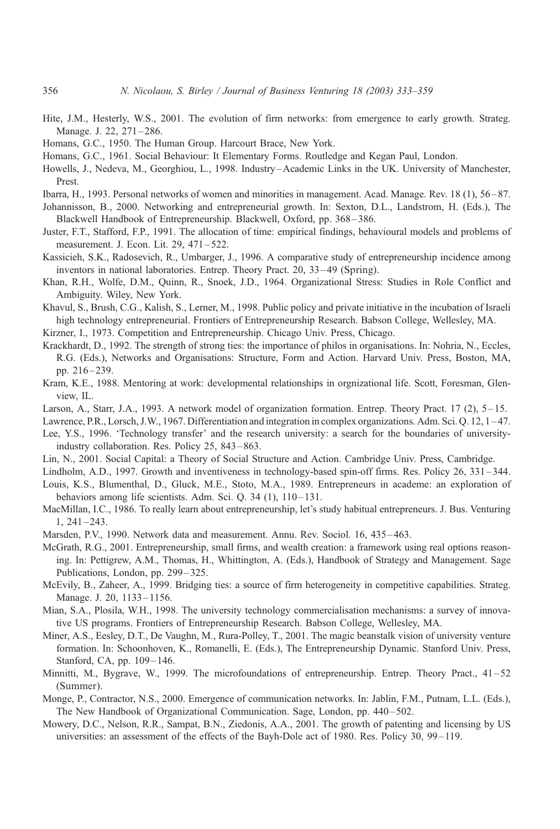- <span id="page-23-0"></span>Hite, J.M., Hesterly, W.S., 2001. The evolution of firm networks: from emergence to early growth. Strateg. Manage. J. 22, 271-286.
- Homans, G.C., 1950. The Human Group. Harcourt Brace, New York.
- Homans, G.C., 1961. Social Behaviour: It Elementary Forms. Routledge and Kegan Paul, London.
- Howells, J., Nedeva, M., Georghiou, L., 1998. Industry –Academic Links in the UK. University of Manchester, Prest.
- Ibarra, H., 1993. Personal networks of women and minorities in management. Acad. Manage. Rev. 18 (1), 56 87.
- Johannisson, B., 2000. Networking and entrepreneurial growth. In: Sexton, D.L., Landstrom, H. (Eds.), The Blackwell Handbook of Entrepreneurship. Blackwell, Oxford, pp. 368 – 386.
- Juster, F.T., Stafford, F.P., 1991. The allocation of time: empirical findings, behavioural models and problems of measurement. J. Econ. Lit. 29, 471 – 522.
- Kassicieh, S.K., Radosevich, R., Umbarger, J., 1996. A comparative study of entrepreneurship incidence among inventors in national laboratories. Entrep. Theory Pract. 20, 33 – 49 (Spring).
- Khan, R.H., Wolfe, D.M., Quinn, R., Snoek, J.D., 1964. Organizational Stress: Studies in Role Conflict and Ambiguity. Wiley, New York.
- Khavul, S., Brush, C.G., Kalish, S., Lerner, M., 1998. Public policy and private initiative in the incubation of Israeli high technology entrepreneurial. Frontiers of Entrepreneurship Research. Babson College, Wellesley, MA.
- Kirzner, I., 1973. Competition and Entrepreneurship. Chicago Univ. Press, Chicago.
- Krackhardt, D., 1992. The strength of strong ties: the importance of philos in organisations. In: Nohria, N., Eccles, R.G. (Eds.), Networks and Organisations: Structure, Form and Action. Harvard Univ. Press, Boston, MA, pp. 216 – 239.
- Kram, K.E., 1988. Mentoring at work: developmental relationships in orgnizational life. Scott, Foresman, Glenview, IL.
- Larson, A., Starr, J.A., 1993. A network model of organization formation. Entrep. Theory Pract. 17 (2), 5–15.
- Lawrence, P.R., Lorsch, J.W., 1967. Differentiation and integration in complex organizations. Adm. Sci. Q. 12, 1 47.
- Lee, Y.S., 1996. 'Technology transfer' and the research university: a search for the boundaries of universityindustry collaboration. Res. Policy 25, 843 – 863.
- Lin, N., 2001. Social Capital: a Theory of Social Structure and Action. Cambridge Univ. Press, Cambridge.
- Lindholm, A.D., 1997. Growth and inventiveness in technology-based spin-off firms. Res. Policy 26, 331 344.
- Louis, K.S., Blumenthal, D., Gluck, M.E., Stoto, M.A., 1989. Entrepreneurs in academe: an exploration of behaviors among life scientists. Adm. Sci. O.  $34$  (1),  $110-131$ .
- MacMillan, I.C., 1986. To really learn about entrepreneurship, let's study habitual entrepreneurs. J. Bus. Venturing  $1, 241 - 243.$
- Marsden, P.V., 1990. Network data and measurement. Annu. Rev. Sociol. 16, 435–463.
- McGrath, R.G., 2001. Entrepreneurship, small firms, and wealth creation: a framework using real options reasoning. In: Pettigrew, A.M., Thomas, H., Whittington, A. (Eds.), Handbook of Strategy and Management. Sage Publications, London, pp. 299 – 325.
- McEvily, B., Zaheer, A., 1999. Bridging ties: a source of firm heterogeneity in competitive capabilities. Strateg. Manage. J. 20, 1133 – 1156.
- Mian, S.A., Plosila, W.H., 1998. The university technology commercialisation mechanisms: a survey of innovative US programs. Frontiers of Entrepreneurship Research. Babson College, Wellesley, MA.
- Miner, A.S., Eesley, D.T., De Vaughn, M., Rura-Polley, T., 2001. The magic beanstalk vision of university venture formation. In: Schoonhoven, K., Romanelli, E. (Eds.), The Entrepreneurship Dynamic. Stanford Univ. Press, Stanford, CA, pp. 109-146.
- Minnitti, M., Bygrave, W., 1999. The microfoundations of entrepreneurship. Entrep. Theory Pract., 41–52 (Summer).
- Monge, P., Contractor, N.S., 2000. Emergence of communication networks. In: Jablin, F.M., Putnam, L.L. (Eds.), The New Handbook of Organizational Communication. Sage, London, pp. 440–502.
- Mowery, D.C., Nelson, R.R., Sampat, B.N., Ziedonis, A.A., 2001. The growth of patenting and licensing by US universities: an assessment of the effects of the Bayh-Dole act of 1980. Res. Policy 30, 99-119.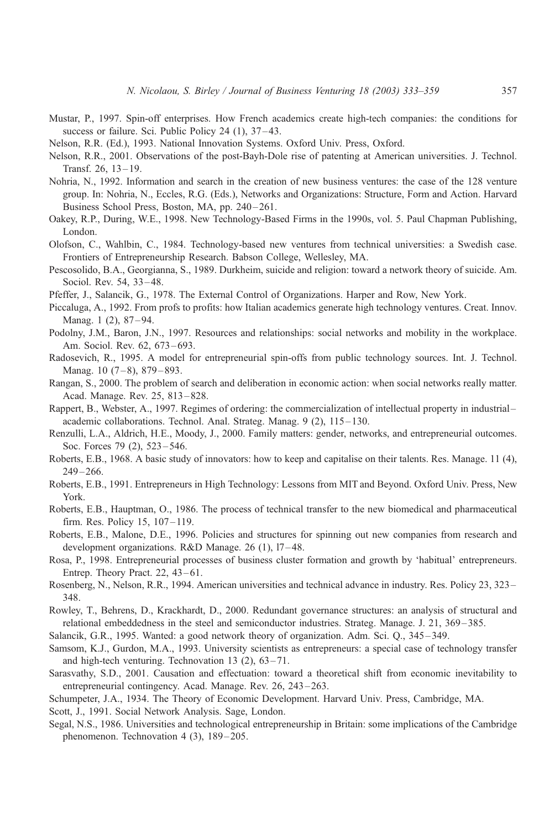- <span id="page-24-0"></span>Mustar, P., 1997. Spin-off enterprises. How French academics create high-tech companies: the conditions for success or failure. Sci. Public Policy 24 (1), 37–43.
- Nelson, R.R. (Ed.), 1993. National Innovation Systems. Oxford Univ. Press, Oxford.
- Nelson, R.R., 2001. Observations of the post-Bayh-Dole rise of patenting at American universities. J. Technol. Transf. 26, 13 – 19.
- Nohria, N., 1992. Information and search in the creation of new business ventures: the case of the 128 venture group. In: Nohria, N., Eccles, R.G. (Eds.), Networks and Organizations: Structure, Form and Action. Harvard Business School Press, Boston, MA, pp. 240–261.
- Oakey, R.P., During, W.E., 1998. New Technology-Based Firms in the 1990s, vol. 5. Paul Chapman Publishing, London.
- Olofson, C., Wahlbin, C., 1984. Technology-based new ventures from technical universities: a Swedish case. Frontiers of Entrepreneurship Research. Babson College, Wellesley, MA.
- Pescosolido, B.A., Georgianna, S., 1989. Durkheim, suicide and religion: toward a network theory of suicide. Am. Sociol. Rev. 54, 33-48.
- Pfeffer, J., Salancik, G., 1978. The External Control of Organizations. Harper and Row, New York.
- Piccaluga, A., 1992. From profs to profits: how Italian academics generate high technology ventures. Creat. Innov. Manag. 1 (2), 87–94.
- Podolny, J.M., Baron, J.N., 1997. Resources and relationships: social networks and mobility in the workplace. Am. Sociol. Rev. 62, 673–693.
- Radosevich, R., 1995. A model for entrepreneurial spin-offs from public technology sources. Int. J. Technol. Manag. 10 (7-8), 879-893.
- Rangan, S., 2000. The problem of search and deliberation in economic action: when social networks really matter. Acad. Manage. Rev. 25, 813 – 828.
- Rappert, B., Webster, A., 1997. Regimes of ordering: the commercialization of intellectual property in industrial academic collaborations. Technol. Anal. Strateg. Manag. 9 (2), 115 – 130.
- Renzulli, L.A., Aldrich, H.E., Moody, J., 2000. Family matters: gender, networks, and entrepreneurial outcomes. Soc. Forces 79 (2), 523–546.
- Roberts, E.B., 1968. A basic study of innovators: how to keep and capitalise on their talents. Res. Manage. 11 (4),  $249 - 266.$
- Roberts, E.B., 1991. Entrepreneurs in High Technology: Lessons from MIT and Beyond. Oxford Univ. Press, New York.
- Roberts, E.B., Hauptman, O., 1986. The process of technical transfer to the new biomedical and pharmaceutical firm. Res. Policy 15, 107 – 119.
- Roberts, E.B., Malone, D.E., 1996. Policies and structures for spinning out new companies from research and development organizations. R&D Manage. 26 (1), 17–48.
- Rosa, P., 1998. Entrepreneurial processes of business cluster formation and growth by 'habitual' entrepreneurs. Entrep. Theory Pract. 22, 43-61.
- Rosenberg, N., Nelson, R.R., 1994. American universities and technical advance in industry. Res. Policy 23, 323 348.
- Rowley, T., Behrens, D., Krackhardt, D., 2000. Redundant governance structures: an analysis of structural and relational embeddedness in the steel and semiconductor industries. Strateg. Manage. J. 21, 369 – 385.
- Salancik, G.R., 1995. Wanted: a good network theory of organization. Adm. Sci. Q., 345 349.
- Samsom, K.J., Gurdon, M.A., 1993. University scientists as entrepreneurs: a special case of technology transfer and high-tech venturing. Technovation 13  $(2)$ ,  $63-71$ .
- Sarasvathy, S.D., 2001. Causation and effectuation: toward a theoretical shift from economic inevitability to entrepreneurial contingency. Acad. Manage. Rev. 26, 243 – 263.

Schumpeter, J.A., 1934. The Theory of Economic Development. Harvard Univ. Press, Cambridge, MA.

Scott, J., 1991. Social Network Analysis. Sage, London.

Segal, N.S., 1986. Universities and technological entrepreneurship in Britain: some implications of the Cambridge phenomenon. Technovation 4 (3), 189-205.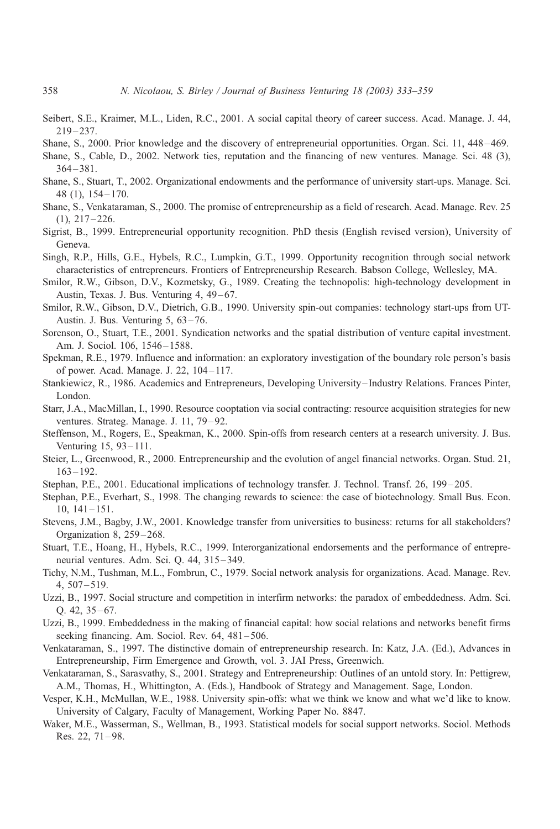- <span id="page-25-0"></span>Seibert, S.E., Kraimer, M.L., Liden, R.C., 2001. A social capital theory of career success. Acad. Manage. J. 44, 219 – 237.
- Shane, S., 2000. Prior knowledge and the discovery of entrepreneurial opportunities. Organ. Sci. 11, 448 469.
- Shane, S., Cable, D., 2002. Network ties, reputation and the financing of new ventures. Manage. Sci. 48 (3), 364 – 381.
- Shane, S., Stuart, T., 2002. Organizational endowments and the performance of university start-ups. Manage. Sci. 48 (1), 154 – 170.
- Shane, S., Venkataraman, S., 2000. The promise of entrepreneurship as a field of research. Acad. Manage. Rev. 25  $(1), 217 - 226.$
- Sigrist, B., 1999. Entrepreneurial opportunity recognition. PhD thesis (English revised version), University of Geneva.
- Singh, R.P., Hills, G.E., Hybels, R.C., Lumpkin, G.T., 1999. Opportunity recognition through social network characteristics of entrepreneurs. Frontiers of Entrepreneurship Research. Babson College, Wellesley, MA.
- Smilor, R.W., Gibson, D.V., Kozmetsky, G., 1989. Creating the technopolis: high-technology development in Austin, Texas. J. Bus. Venturing 4, 49-67.
- Smilor, R.W., Gibson, D.V., Dietrich, G.B., 1990. University spin-out companies: technology start-ups from UT-Austin. J. Bus. Venturing 5, 63-76.
- Sorenson, O., Stuart, T.E., 2001. Syndication networks and the spatial distribution of venture capital investment. Am. J. Sociol. 106, 1546-1588.
- Spekman, R.E., 1979. Influence and information: an exploratory investigation of the boundary role person's basis of power. Acad. Manage. J. 22, 104 – 117.
- Stankiewicz, R., 1986. Academics and Entrepreneurs, Developing University Industry Relations. Frances Pinter, London.
- Starr, J.A., MacMillan, I., 1990. Resource cooptation via social contracting: resource acquisition strategies for new ventures. Strateg. Manage. J. 11, 79-92.
- Steffenson, M., Rogers, E., Speakman, K., 2000. Spin-offs from research centers at a research university. J. Bus. Venturing 15, 93-111.
- Steier, L., Greenwood, R., 2000. Entrepreneurship and the evolution of angel financial networks. Organ. Stud. 21,  $163 - 192.$
- Stephan, P.E., 2001. Educational implications of technology transfer. J. Technol. Transf. 26, 199-205.
- Stephan, P.E., Everhart, S., 1998. The changing rewards to science: the case of biotechnology. Small Bus. Econ. 10, 141 – 151.
- Stevens, J.M., Bagby, J.W., 2001. Knowledge transfer from universities to business: returns for all stakeholders? Organization 8, 259-268.
- Stuart, T.E., Hoang, H., Hybels, R.C., 1999. Interorganizational endorsements and the performance of entrepreneurial ventures. Adm. Sci. Q. 44, 315 – 349.
- Tichy, N.M., Tushman, M.L., Fombrun, C., 1979. Social network analysis for organizations. Acad. Manage. Rev. 4, 507 – 519.
- Uzzi, B., 1997. Social structure and competition in interfirm networks: the paradox of embeddedness. Adm. Sci.  $Q. 42, 35 - 67.$
- Uzzi, B., 1999. Embeddedness in the making of financial capital: how social relations and networks benefit firms seeking financing. Am. Sociol. Rev. 64, 481-506.
- Venkataraman, S., 1997. The distinctive domain of entrepreneurship research. In: Katz, J.A. (Ed.), Advances in Entrepreneurship, Firm Emergence and Growth, vol. 3. JAI Press, Greenwich.
- Venkataraman, S., Sarasvathy, S., 2001. Strategy and Entrepreneurship: Outlines of an untold story. In: Pettigrew, A.M., Thomas, H., Whittington, A. (Eds.), Handbook of Strategy and Management. Sage, London.
- Vesper, K.H., McMullan, W.E., 1988. University spin-offs: what we think we know and what we'd like to know. University of Calgary, Faculty of Management, Working Paper No. 8847.
- Waker, M.E., Wasserman, S., Wellman, B., 1993. Statistical models for social support networks. Sociol. Methods Res. 22, 71-98.